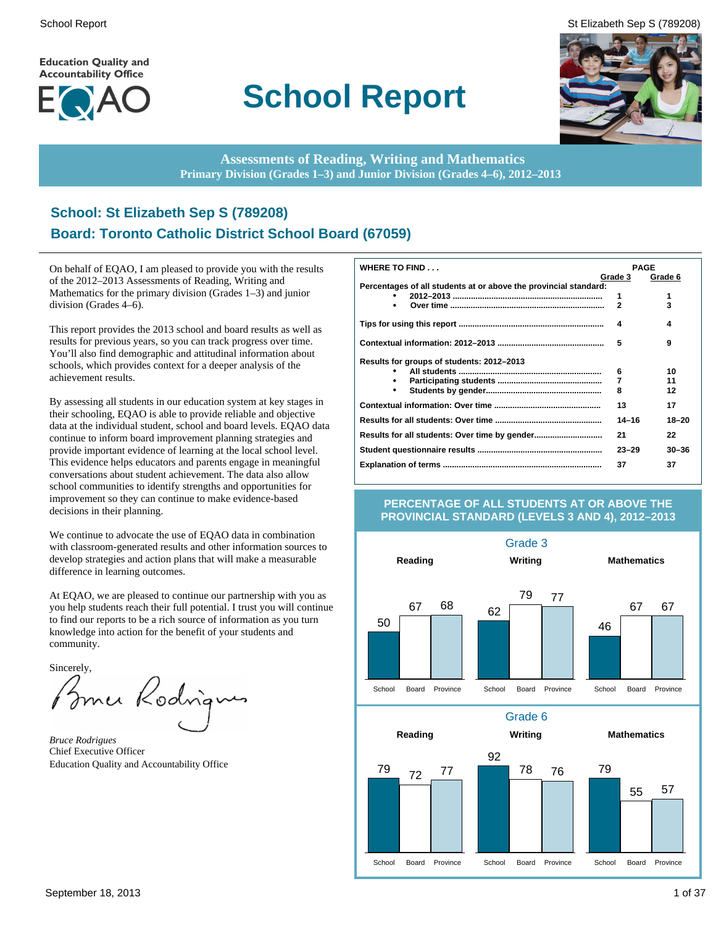**Education Quality and Accountability Office** 



# **School Report**

School Report St Elizabeth Sep S (789208)



**Assessments of Reading, Writing and Mathematics Primary Division (Grades 1–3) and Junior Division (Grades 4–6), 2012–2013**

# **School: St Elizabeth Sep S (789208) Board: Toronto Catholic District School Board (67059)**

On behalf of EQAO, I am pleased to provide you with the results of the 2012–2013 Assessments of Reading, Writing and Mathematics for the primary division (Grades 1–3) and junior division (Grades 4–6).

This report provides the 2013 school and board results as well as results for previous years, so you can track progress over time. You'll also find demographic and attitudinal information about schools, which provides context for a deeper analysis of the achievement results.

By assessing all students in our education system at key stages in their schooling, EQAO is able to provide reliable and objective data at the individual student, school and board levels. EQAO data continue to inform board improvement planning strategies and provide important evidence of learning at the local school level. This evidence helps educators and parents engage in meaningful conversations about student achievement. The data also allow school communities to identify strengths and opportunities for improvement so they can continue to make evidence-based decisions in their planning.

We continue to advocate the use of EQAO data in combination with classroom-generated results and other information sources to develop strategies and action plans that will make a measurable difference in learning outcomes.

At EQAO, we are pleased to continue our partnership with you as you help students reach their full potential. I trust you will continue to find our reports to be a rich source of information as you turn knowledge into action for the benefit of your students and community.

Sincerely,

Brner Rodrig

*Bruce Rodrigues* Chief Executive Officer Education Quality and Accountability Office

| <b>WHERE TO FIND</b>                                             | <b>PAGE</b> |           |
|------------------------------------------------------------------|-------------|-----------|
|                                                                  | Grade 3     | Grade 6   |
| Percentages of all students at or above the provincial standard: |             |           |
|                                                                  | 1           | 1         |
| ٠                                                                | 2           | 3         |
|                                                                  | 4           | 4         |
|                                                                  | 5           | 9         |
| Results for groups of students: 2012-2013                        |             |           |
|                                                                  | 6           | 10        |
| ٠                                                                | 7           | 11        |
| ٠                                                                | 8           | 12        |
|                                                                  | 13          | 17        |
|                                                                  | $14 - 16$   | $18 - 20$ |
|                                                                  | 21          | 22        |
|                                                                  | $23 - 29$   | $30 - 36$ |
|                                                                  | 37          | 37        |

### **PERCENTAGE OF ALL STUDENTS AT OR ABOVE THE PROVINCIAL STANDARD (LEVELS 3 AND 4), 2012–2013**

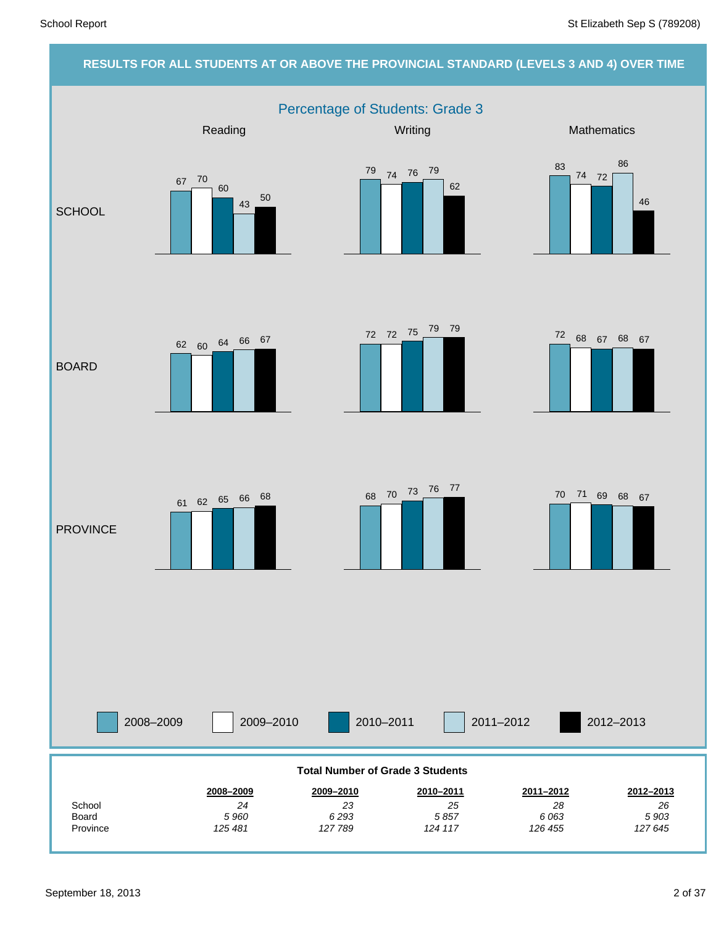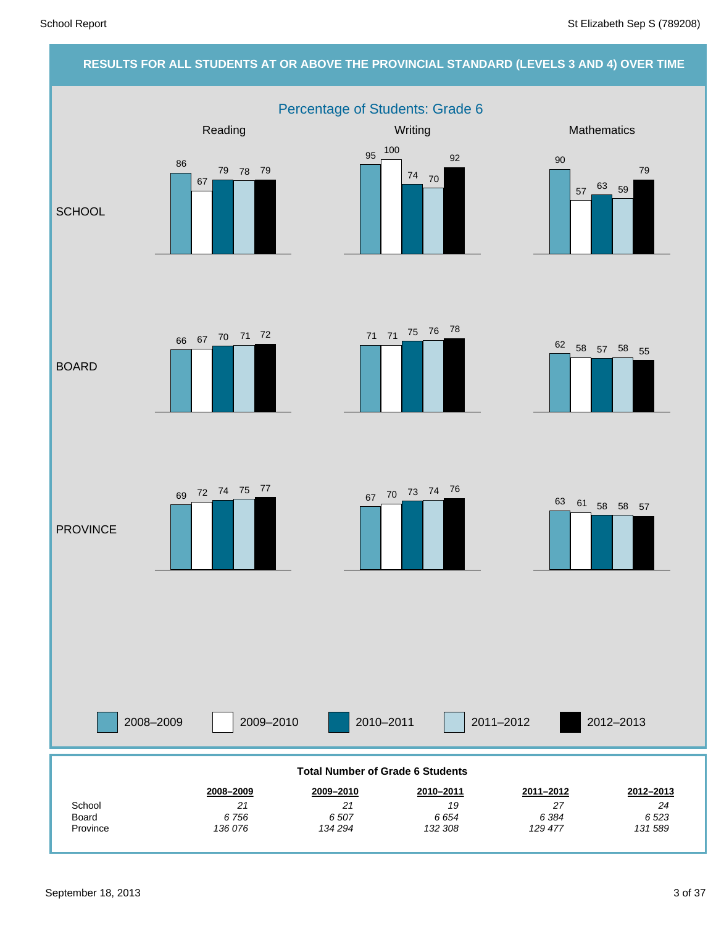### **RESULTS FOR ALL STUDENTS AT OR ABOVE THE PROVINCIAL STANDARD (LEVELS 3 AND 4) OVER TIME**

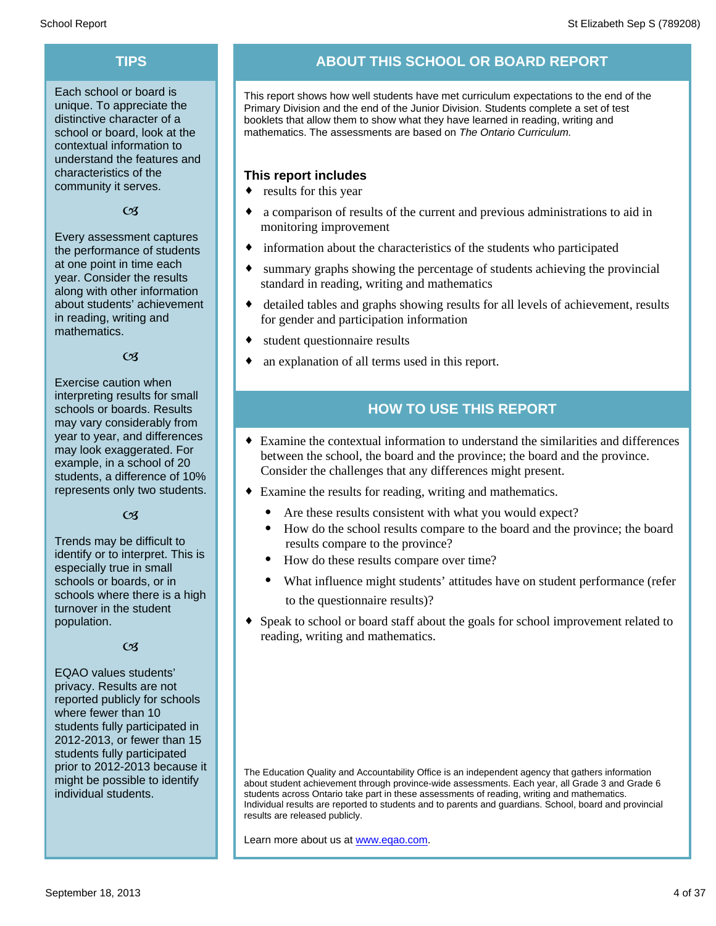Each school or board is unique. To appreciate the distinctive character of a school or board, look at the contextual information to understand the features and characteristics of the community it serves.

 $CZ$ 

Every assessment captures the performance of students at one point in time each year. Consider the results along with other information about students' achievement in reading, writing and mathematics.

### $\alpha$

Exercise caution when interpreting results for small schools or boards. Results may vary considerably from year to year, and differences may look exaggerated. For example, in a school of 20 students, a difference of 10% represents only two students.

### $C<sub>3</sub>$

Trends may be difficult to identify or to interpret. This is especially true in small schools or boards, or in schools where there is a high turnover in the student population.

### $\alpha$

EQAO values students' privacy. Results are not reported publicly for schools where fewer than 10 students fully participated in 2012-2013, or fewer than 15 students fully participated prior to 2012-2013 because it might be possible to identify individual students.

# **TIPS ABOUT THIS SCHOOL OR BOARD REPORT**

This report shows how well students have met curriculum expectations to the end of the Primary Division and the end of the Junior Division. Students complete a set of test booklets that allow them to show what they have learned in reading, writing and mathematics. The assessments are based on *The Ontario Curriculum.*

### **This report includes**

- $\bullet$  results for this year
- a comparison of results of the current and previous administrations to aid in monitoring improvement
- $\bullet$  information about the characteristics of the students who participated
- summary graphs showing the percentage of students achieving the provincial standard in reading, writing and mathematics
- detailed tables and graphs showing results for all levels of achievement, results for gender and participation information
- student questionnaire results
- an explanation of all terms used in this report.

# **HOW TO USE THIS REPORT**

- ¨ Examine the contextual information to understand the similarities and differences between the school, the board and the province; the board and the province. Consider the challenges that any differences might present.
- Examine the results for reading, writing and mathematics.
	- Are these results consistent with what you would expect?
	- · How do the school results compare to the board and the province; the board results compare to the province?
	- How do these results compare over time?
	- What influence might students' attitudes have on student performance (refer to the questionnaire results)?
- Speak to school or board staff about the goals for school improvement related to reading, writing and mathematics.

Learn more about us at www.eqao.com.

The Education Quality and Accountability Office is an independent agency that gathers information about student achievement through province-wide assessments. Each year, all Grade 3 and Grade 6 students across Ontario take part in these assessments of reading, writing and mathematics. Individual results are reported to students and to parents and guardians. School, board and provincial results are released publicly.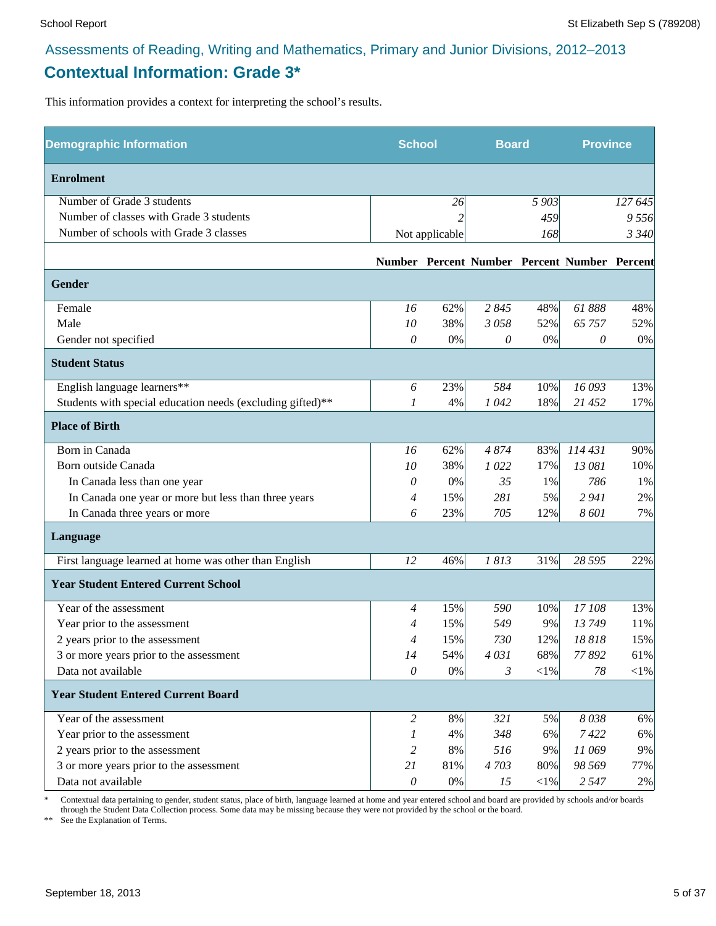# **Contextual Information: Grade 3\***

This information provides a context for interpreting the school's results.

| <b>Demographic Information</b>                             | <b>School</b>             |                | <b>Board</b> |            | <b>Province</b>                              |         |
|------------------------------------------------------------|---------------------------|----------------|--------------|------------|----------------------------------------------|---------|
| <b>Enrolment</b>                                           |                           |                |              |            |                                              |         |
| Number of Grade 3 students                                 |                           | 26             |              | 5 903      |                                              | 127 645 |
| Number of classes with Grade 3 students                    |                           |                |              | 459        |                                              | 9 556   |
| Number of schools with Grade 3 classes                     |                           | Not applicable |              | 168        |                                              | 3 3 4 0 |
|                                                            |                           |                |              |            | Number Percent Number Percent Number Percent |         |
| <b>Gender</b>                                              |                           |                |              |            |                                              |         |
| Female                                                     | 16                        | 62%            | 2845         | 48%        | 61888                                        | 48%     |
| Male                                                       | 10                        | 38%            | 3058         | 52%        | 65 757                                       | 52%     |
| Gender not specified                                       | 0                         | 0%             | 0            | 0%         | 0                                            | 0%      |
| <b>Student Status</b>                                      |                           |                |              |            |                                              |         |
| English language learners**                                | 6                         | 23%            | 584          | 10%        | 16 093                                       | 13%     |
| Students with special education needs (excluding gifted)** | 1                         | 4%             | 1042         | 18%        | 21 452                                       | 17%     |
| <b>Place of Birth</b>                                      |                           |                |              |            |                                              |         |
| Born in Canada                                             | 16                        | 62%            | 4874         | 83%        | 114 431                                      | 90%     |
| Born outside Canada                                        | 10                        | 38%            | 1022         | 17%        | 13 081                                       | 10%     |
| In Canada less than one year                               | 0                         | 0%             | 35           | 1%         | 786                                          | 1%      |
| In Canada one year or more but less than three years       | 4                         | 15%            | 281          | 5%         | 2 9 4 1                                      | 2%      |
| In Canada three years or more                              | 6                         | 23%            | 705          | 12%        | 8 601                                        | 7%      |
| Language                                                   |                           |                |              |            |                                              |         |
| First language learned at home was other than English      | 12                        | 46%            | 1813         | 31%        | 28 5 95                                      | 22%     |
| <b>Year Student Entered Current School</b>                 |                           |                |              |            |                                              |         |
| Year of the assessment                                     | $\overline{4}$            | 15%            | 590          | 10%        | 17 108                                       | 13%     |
| Year prior to the assessment                               | 4                         | 15%            | 549          | 9%         | 13749                                        | 11%     |
| 2 years prior to the assessment                            | 4                         | 15%            | 730          | 12%        | 18818                                        | 15%     |
| 3 or more years prior to the assessment                    | 14                        | 54%            | 4031         | 68%        | 77892                                        | 61%     |
| Data not available                                         | 0                         | 0%             | 3            | $<$ 1%     | 78                                           | $<$ 1%  |
| <b>Year Student Entered Current Board</b>                  |                           |                |              |            |                                              |         |
| Year of the assessment                                     | $\overline{c}$            | 8%             | 321          | 5%         | 8038                                         | 6%      |
| Year prior to the assessment                               | 1                         | 4%             | 348          | 6%         | 7422                                         | 6%      |
| 2 years prior to the assessment                            | 2                         | 8%             | 516          | 9%         | 11 069                                       | 9%      |
| 3 or more years prior to the assessment                    | 21                        | 81%            | 4703         | 80%        | 98 569                                       | 77%     |
| Data not available                                         | $\boldsymbol{\mathit{0}}$ | $0\%$          | 15           | $<\!\!1\%$ | 2 5 4 7                                      | 2%      |

\* Contextual data pertaining to gender, student status, place of birth, language learned at home and year entered school and board are provided by schools and/or boards through the Student Data Collection process. Some data may be missing because they were not provided by the school or the board.

\*\* See the Explanation of Terms.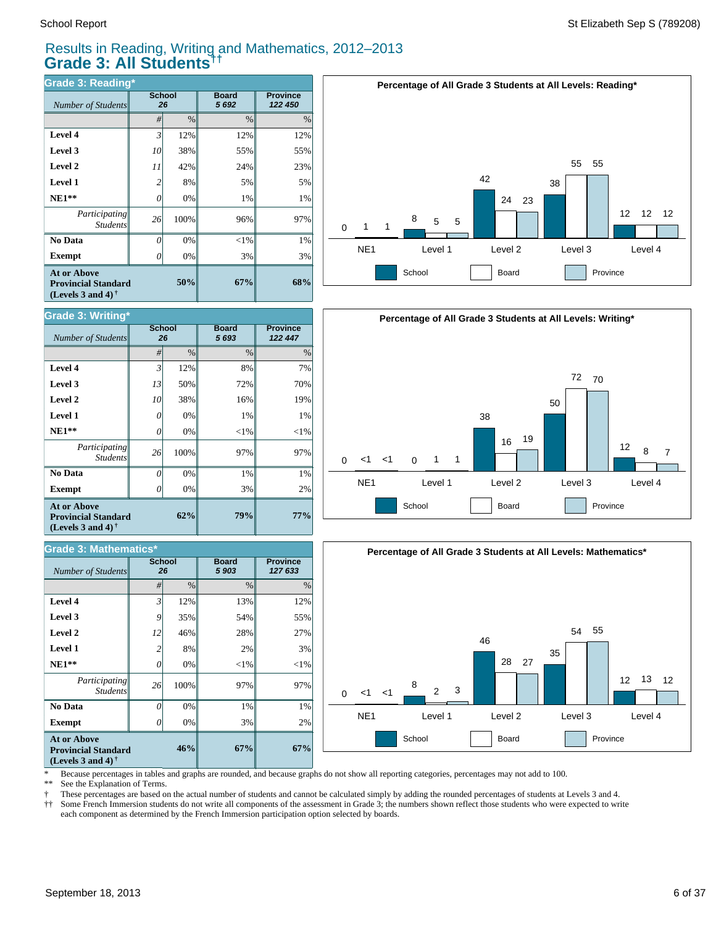# Results in Reading, Writing and Mathematics, 2012–2013 **Grade 3: All Students††**

| <b>Grade 3: Reading*</b>                                                       |    |               |                      |                            |  |  |  |  |  |
|--------------------------------------------------------------------------------|----|---------------|----------------------|----------------------------|--|--|--|--|--|
| Number of Students                                                             |    | School<br>26  | <b>Board</b><br>5692 | <b>Province</b><br>122 450 |  |  |  |  |  |
|                                                                                | #  | $\frac{0}{0}$ | $\frac{0}{0}$        | $\%$                       |  |  |  |  |  |
| Level 4                                                                        | 3' | 12%           | 12%                  | 12%                        |  |  |  |  |  |
| Level 3                                                                        | 10 | 38%           | 55%                  | 55%                        |  |  |  |  |  |
| Level 2                                                                        | 11 | 42%           | 24%                  | 23%                        |  |  |  |  |  |
| Level 1                                                                        | 2  | 8%            | 5%                   | 5%                         |  |  |  |  |  |
| $NE1**$                                                                        | 0  | 0%            | 1%                   | 1%                         |  |  |  |  |  |
| Participating<br><b>Students</b>                                               | 26 | 100%          | 96%                  | 97%                        |  |  |  |  |  |
| No Data                                                                        | 0  | 0%            | $<$ 1%               | 1%                         |  |  |  |  |  |
| <b>Exempt</b>                                                                  | Ω  | 0%            | 3%                   | 3%                         |  |  |  |  |  |
| <b>At or Above</b><br><b>Provincial Standard</b><br>(Levels 3 and 4) $\dagger$ |    | 67%           | 68%                  |                            |  |  |  |  |  |



### *#* % % % **Province** *127 633* **Board** *5 903* **School** *Number of Students* **67%** 2% 1% 97%  $<1%$ 3% 27% 55% 12% **67%** 3% 1% 97%  $<1%$ 2% 28% 54% 13% **46%** 0% 0% 100% 0% 8% 46% 35% 12% *0 26 0 2 12 9 3* **Exempt**  $\qquad$  0  **No Data** *Participating Students*  **NE1\*\* Level 1 Level 2 Level 3 Level 4 At or Above Provincial Standard (Levels 3 and 4) † Grade 3: Mathematics\***







\* Because percentages in tables and graphs are rounded, and because graphs do not show all reporting categories, percentages may not add to 100.

See the Explanation of Terms.

† These percentages are based on the actual number of students and cannot be calculated simply by adding the rounded percentages of students at Levels 3 and 4.

†† Some French Immersion students do not write all components of the assessment in Grade 3; the numbers shown reflect those students who were expected to write each component as determined by the French Immersion participation option selected by boards.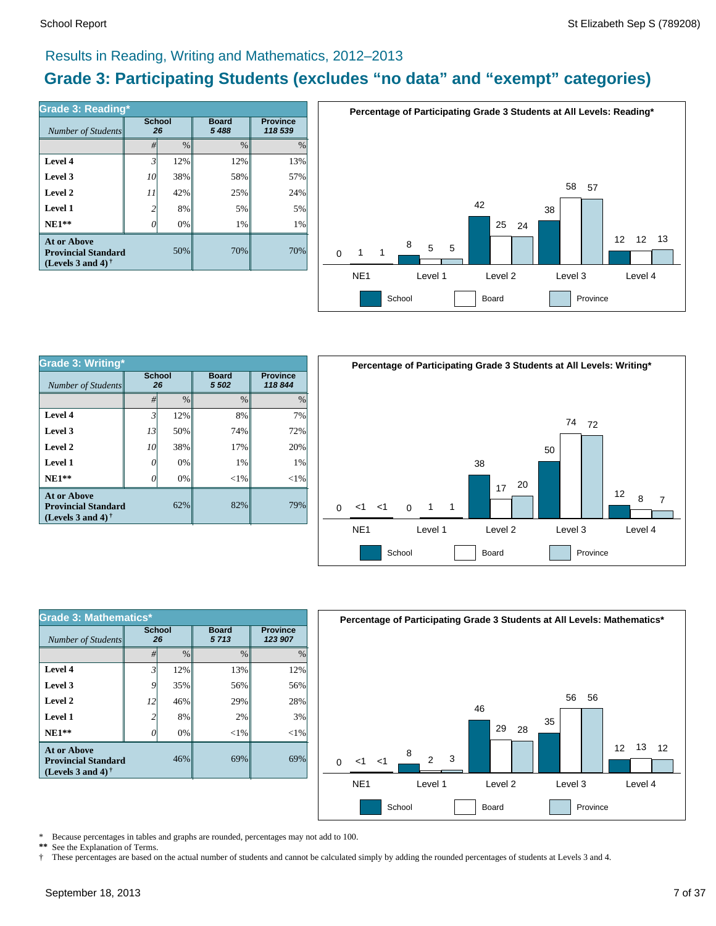# Results in Reading, Writing and Mathematics, 2012–2013

# **Grade 3: Participating Students (excludes "no data" and "exempt" categories)**

| Grade 3: Reading*                                                                 |                |                     |                         |                            |
|-----------------------------------------------------------------------------------|----------------|---------------------|-------------------------|----------------------------|
| Number of Students                                                                |                | <b>School</b><br>26 | <b>Board</b><br>5 4 8 8 | <b>Province</b><br>118 539 |
|                                                                                   | #              | $\%$                | $\%$                    | $\frac{0}{0}$              |
| Level 4                                                                           | $\mathfrak{Z}$ | 12%                 | 12%                     | 13%                        |
| Level 3                                                                           | 10             | 38%                 | 58%                     | 57%                        |
| Level 2                                                                           | 11             | 42%                 | 25%                     | 24%                        |
| Level 1                                                                           | 2              | 8%                  | 5%                      | 5%                         |
| $NE1**$                                                                           |                | 0%                  | 1%                      | 1%                         |
| <b>At or Above</b><br><b>Provincial Standard</b><br>(Levels 3 and 4) $^{\dagger}$ |                | 50%                 | 70%                     | 70%                        |



| <b>Grade 3: Writing*</b>                                                       |                     |      |                         |                           |          |                 | <b>Percentage of Participa</b> |          |                |  |
|--------------------------------------------------------------------------------|---------------------|------|-------------------------|---------------------------|----------|-----------------|--------------------------------|----------|----------------|--|
| Number of Students                                                             | <b>School</b><br>26 |      | <b>Board</b><br>5 5 0 2 | <b>Province</b><br>118844 |          |                 |                                |          |                |  |
|                                                                                | #                   | $\%$ | $\frac{0}{0}$           | $\%$                      |          |                 |                                |          |                |  |
| Level 4                                                                        | 3                   | 12%  | 8%                      | 7%                        |          |                 |                                |          |                |  |
| Level 3                                                                        | 13                  | 50%  | 74%                     | 72%                       |          |                 |                                |          |                |  |
| Level 2                                                                        | 10                  | 38%  | 17%                     | 20%                       |          |                 |                                |          |                |  |
| <b>Level 1</b>                                                                 | 0                   | 0%   | $1\%$                   | $1\%$                     |          |                 |                                |          |                |  |
| $NE1**$                                                                        | 0                   | 0%   | $< 1\%$                 | $< 1\%$                   |          |                 |                                |          |                |  |
| <b>At or Above</b><br><b>Provincial Standard</b><br>(Levels 3 and 4) $\dagger$ |                     | 62%  | 82%                     | 79%                       | $\Omega$ | $<$ 1           | — <1                           | $\Omega$ | $\overline{1}$ |  |
|                                                                                |                     |      |                         |                           |          | NE <sub>1</sub> |                                |          | Level 1        |  |



| <b>Grade 3: Mathematics*</b>                                                   |                |               |                      |                            |  |  |  |  |  |
|--------------------------------------------------------------------------------|----------------|---------------|----------------------|----------------------------|--|--|--|--|--|
| Number of Students                                                             | <b>School</b>  | 26            | <b>Board</b><br>5713 | <b>Province</b><br>123 907 |  |  |  |  |  |
|                                                                                | #              | $\frac{0}{0}$ | $\frac{0}{0}$        | $\%$                       |  |  |  |  |  |
| Level 4                                                                        | $\mathfrak{Z}$ | 12%           | 13%                  | 12%                        |  |  |  |  |  |
| Level 3                                                                        | 9              | 35%           | 56%                  | 56%                        |  |  |  |  |  |
| Level 2                                                                        | 12             | 46%           | 29%                  | 28%                        |  |  |  |  |  |
| Level 1                                                                        | 2              | 8%            | 2%                   | 3%                         |  |  |  |  |  |
| $NE1**$                                                                        | O              | 0%            | $<$ 1%               | $<$ 1%                     |  |  |  |  |  |
| <b>At or Above</b><br><b>Provincial Standard</b><br>(Levels 3 and 4) $\dagger$ |                | 46%           | 69%                  | 69%                        |  |  |  |  |  |



\* Because percentages in tables and graphs are rounded, percentages may not add to 100.<br>\*\* See the Explanation of Terms

See the Explanation of Terms.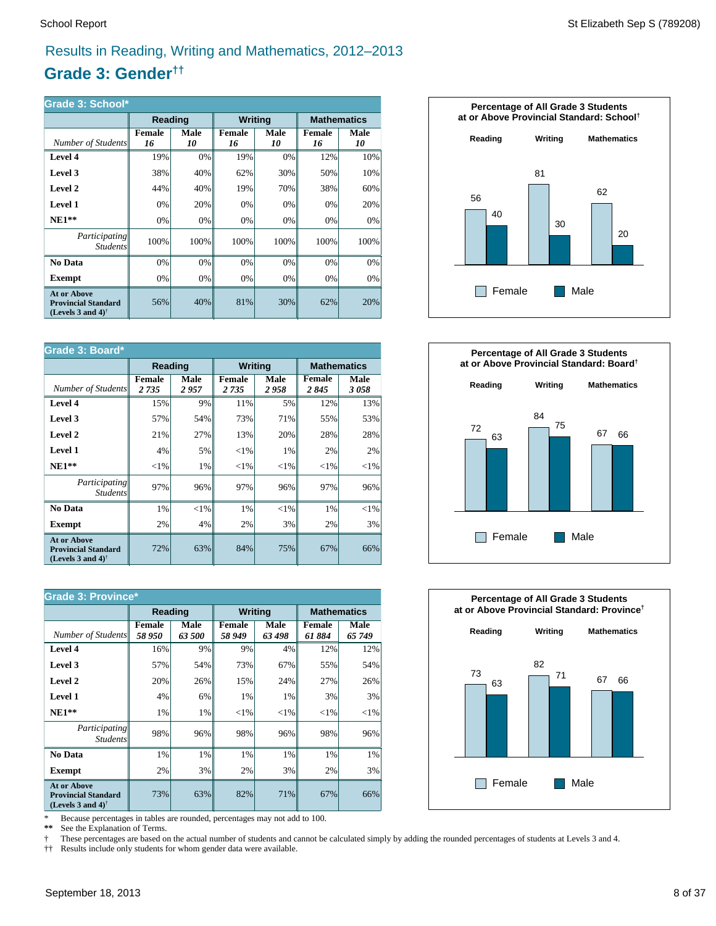# Results in Reading, Writing and Mathematics, 2012–2013

# **Grade 3: Gender††**

| Grade 3: School*                                                                                     |              |                                                 |              |                   |                     |            |
|------------------------------------------------------------------------------------------------------|--------------|-------------------------------------------------|--------------|-------------------|---------------------|------------|
|                                                                                                      |              | <b>Mathematics</b><br>Reading<br><b>Writing</b> |              |                   |                     |            |
| Number of Students                                                                                   | Female<br>16 | Male<br>10                                      | Female<br>16 | <b>Male</b><br>10 | <b>Female</b><br>16 | Male<br>10 |
| Level 4                                                                                              | 19%          | 0%                                              | 19%          | $0\%$             | 12%                 | 10%        |
| Level 3                                                                                              | 38%          | 40%                                             | 62%          | 30%               | 50%                 | 10%        |
| Level 2                                                                                              | 44%          | 40%                                             | 19%          | 70%               | 38%                 | 60%        |
| Level 1                                                                                              | 0%           | 20%                                             | 0%           | 0%                | 0%                  | 20%        |
| $NE1**$                                                                                              | 0%           | 0%                                              | 0%           | 0%                | 0%                  | 0%         |
| <i>Participating</i><br><i>Students</i>                                                              | 100%         | 100%                                            | 100%         | 100%              | 100%                | 100%       |
| No Data                                                                                              | 0%           | 0%                                              | 0%           | 0%                | 0%                  | 0%         |
| Exempt                                                                                               | 0%           | 0%                                              | 0%           | $0\%$             | 0%                  | 0%         |
| <b>At or Above</b><br><b>Provincial Standard</b><br>(Levels 3 and 4) <sup><math>\dagger</math></sup> | 56%          | 40%                                             | 81%          | 30%               | 62%                 | 20%        |

| Grade 3: Board*                                                                                      |                                                 |              |                          |              |                |              |
|------------------------------------------------------------------------------------------------------|-------------------------------------------------|--------------|--------------------------|--------------|----------------|--------------|
|                                                                                                      | <b>Writing</b><br><b>Mathematics</b><br>Reading |              |                          |              |                |              |
| Number of Students                                                                                   | <b>Female</b><br>2 7 3 5                        | Male<br>2957 | <b>Female</b><br>2 7 3 5 | Male<br>2958 | Female<br>2845 | Male<br>3058 |
| Level 4                                                                                              | 15%                                             | 9%           | 11%                      | 5%           | 12%            | 13%          |
| Level 3                                                                                              | 57%                                             | 54%          | 73%                      | 71%          | 55%            | 53%          |
| Level 2                                                                                              | 21%                                             | 27%          | 13%                      | 20%          | 28%            | 28%          |
| Level 1                                                                                              | 4%                                              | 5%           | ${<}1\%$                 | 1%           | 2%             | 2%           |
| $NE1**$                                                                                              | ${<}1\%$                                        | 1%           | ${<}1\%$                 | ${<}1\%$     | ${<}1\%$       | ${<}1\%$     |
| Participating<br><b>Students</b>                                                                     | 97%                                             | 96%          | 97%                      | 96%          | 97%            | 96%          |
| No Data                                                                                              | 1%                                              | ${<}1\%$     | 1%                       | $<$ 1%       | 1%             | ${<}1\%$     |
| <b>Exempt</b>                                                                                        | 2%                                              | 4%           | 2%                       | 3%           | 2%             | 3%           |
| <b>At or Above</b><br><b>Provincial Standard</b><br>(Levels 3 and 4) <sup><math>\dagger</math></sup> | 72%                                             | 63%          | 84%                      | 75%          | 67%            | 66%          |

| <b>Grade 3: Province*</b>                                                                            |                 |                |                                      |                |                  |                |  |  |
|------------------------------------------------------------------------------------------------------|-----------------|----------------|--------------------------------------|----------------|------------------|----------------|--|--|
|                                                                                                      | Reading         |                | <b>Writing</b><br><b>Mathematics</b> |                |                  |                |  |  |
| Number of Students                                                                                   | Female<br>58950 | Male<br>63 500 | Female<br>58 949                     | Male<br>63 498 | Female<br>61 884 | Male<br>65 749 |  |  |
| Level 4                                                                                              | 16%             | 9%             | 9%                                   | 4%             | 12%              | 12%            |  |  |
| Level 3                                                                                              | 57%             | 54%            | 73%                                  | 67%            | 55%              | 54%            |  |  |
| Level 2                                                                                              | 20%             | 26%            | 15%                                  | 24%            | 27%              | 26%            |  |  |
| Level 1                                                                                              | 4%              | 6%             | 1%                                   | 1%             | 3%               | 3%             |  |  |
| $NE1**$                                                                                              | 1%              | 1%             | ${<}1\%$                             | ${<}1\%$       | ${<}1\%$         | ${<}1\%$       |  |  |
| <i>Participating</i><br><i>Students</i>                                                              | 98%             | 96%            | 98%                                  | 96%            | 98%              | 96%            |  |  |
| No Data                                                                                              | 1%              | 1%             | 1%                                   | 1%             | 1%               | 1%             |  |  |
| <b>Exempt</b>                                                                                        | 2%              | 3%             | 2%                                   | 3%             | 2%               | 3%             |  |  |
| <b>At or Above</b><br><b>Provincial Standard</b><br>(Levels 3 and 4) <sup><math>\dagger</math></sup> | 73%             | 63%            | 82%                                  | 71%            | 67%              | 66%            |  |  |

\* Because percentages in tables are rounded, percentages may not add to 100.<br>\*\* See the Explanation of Terms.

See the Explanation of Terms.

† These percentages are based on the actual number of students and cannot be calculated simply by adding the rounded percentages of students at Levels 3 and 4.<br>†† Results include only students for whom gender data were ava

†† Results include only students for whom gender data were available.





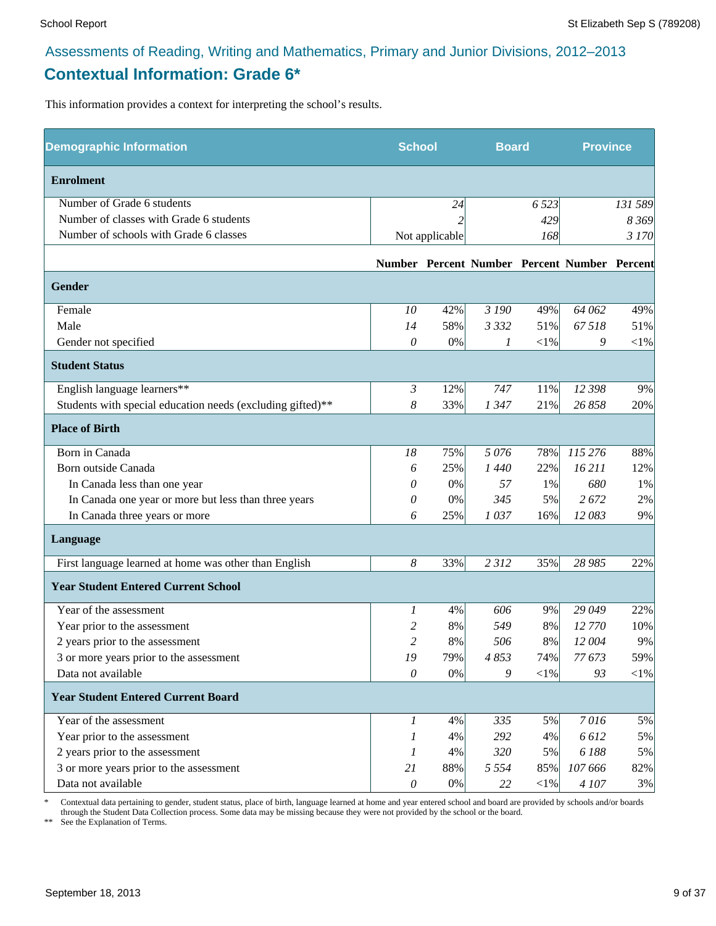# Assessments of Reading, Writing and Mathematics, Primary and Junior Divisions, 2012–2013 **Contextual Information: Grade 6\***

This information provides a context for interpreting the school's results.

| <b>Demographic Information</b>                             | <b>School</b>    |                | <b>Board</b> |        | <b>Province</b>                              |            |
|------------------------------------------------------------|------------------|----------------|--------------|--------|----------------------------------------------|------------|
| <b>Enrolment</b>                                           |                  |                |              |        |                                              |            |
| Number of Grade 6 students                                 |                  | 24             |              | 6 5 23 |                                              | 131 589    |
| Number of classes with Grade 6 students                    |                  |                |              | 429    |                                              | 8 3 6 9    |
| Number of schools with Grade 6 classes                     |                  | Not applicable |              | 168    |                                              | 3 170      |
|                                                            |                  |                |              |        | Number Percent Number Percent Number Percent |            |
| <b>Gender</b>                                              |                  |                |              |        |                                              |            |
| Female                                                     | 10               | 42%            | 3 190        | 49%    | 64 062                                       | 49%        |
| Male                                                       | 14               | 58%            | 3 3 3 2      | 51%    | 67518                                        | 51%        |
| Gender not specified                                       | 0                | 0%             | 1            | $<$ 1% | 9                                            | $<\!\!1\%$ |
| <b>Student Status</b>                                      |                  |                |              |        |                                              |            |
| English language learners**                                | $\mathfrak{Z}$   | 12%            | 747          | 11%    | 12 398                                       | 9%         |
| Students with special education needs (excluding gifted)** | 8                | 33%            | 1 3 4 7      | 21%    | 26 858                                       | 20%        |
| <b>Place of Birth</b>                                      |                  |                |              |        |                                              |            |
| Born in Canada                                             | 18               | 75%            | 5076         | 78%    | 115 276                                      | 88%        |
| Born outside Canada                                        | 6                | 25%            | 1440         | 22%    | 16 211                                       | 12%        |
| In Canada less than one year                               | 0                | $0\%$          | 57           | 1%     | 680                                          | 1%         |
| In Canada one year or more but less than three years       | 0                | 0%             | 345          | 5%     | 2 672                                        | 2%         |
| In Canada three years or more                              | 6                | 25%            | 1037         | 16%    | 12083                                        | 9%         |
| Language                                                   |                  |                |              |        |                                              |            |
| First language learned at home was other than English      | $\boldsymbol{8}$ | 33%            | 2312         | 35%    | 28 985                                       | 22%        |
| <b>Year Student Entered Current School</b>                 |                  |                |              |        |                                              |            |
| Year of the assessment                                     | 1                | 4%             | 606          | 9%     | 29 049                                       | 22%        |
| Year prior to the assessment                               | 2                | 8%             | 549          | 8%     | 12 770                                       | 10%        |
| 2 years prior to the assessment                            | $\overline{c}$   | 8%             | 506          | 8%     | 12 004                                       | 9%         |
| 3 or more years prior to the assessment                    | 19               | 79%            | 4853         | 74%    | 77 673                                       | 59%        |
| Data not available                                         | $\mathcal O$     | 0%             | 9            | $<$ 1% | 93                                           | $<\!\!1\%$ |
| <b>Year Student Entered Current Board</b>                  |                  |                |              |        |                                              |            |
| Year of the assessment                                     | 1                | 4%             | 335          | 5%     | 7016                                         | 5%         |
| Year prior to the assessment                               | 1                | 4%             | 292          | 4%     | 6612                                         | 5%         |
| 2 years prior to the assessment                            | 1                | 4%             | 320          | 5%     | 6188                                         | 5%         |
| 3 or more years prior to the assessment                    | 21               | 88%            | 5 5 5 4      | 85%    | 107 666                                      | 82%        |
| Data not available                                         | $\mathcal O$     | $0\%$          | 22           | $<$ 1% | 4 107                                        | 3%         |

\* Contextual data pertaining to gender, student status, place of birth, language learned at home and year entered school and board are provided by schools and/or boards through the Student Data Collection process. Some data may be missing because they were not provided by the school or the board.

\*\* See the Explanation of Terms.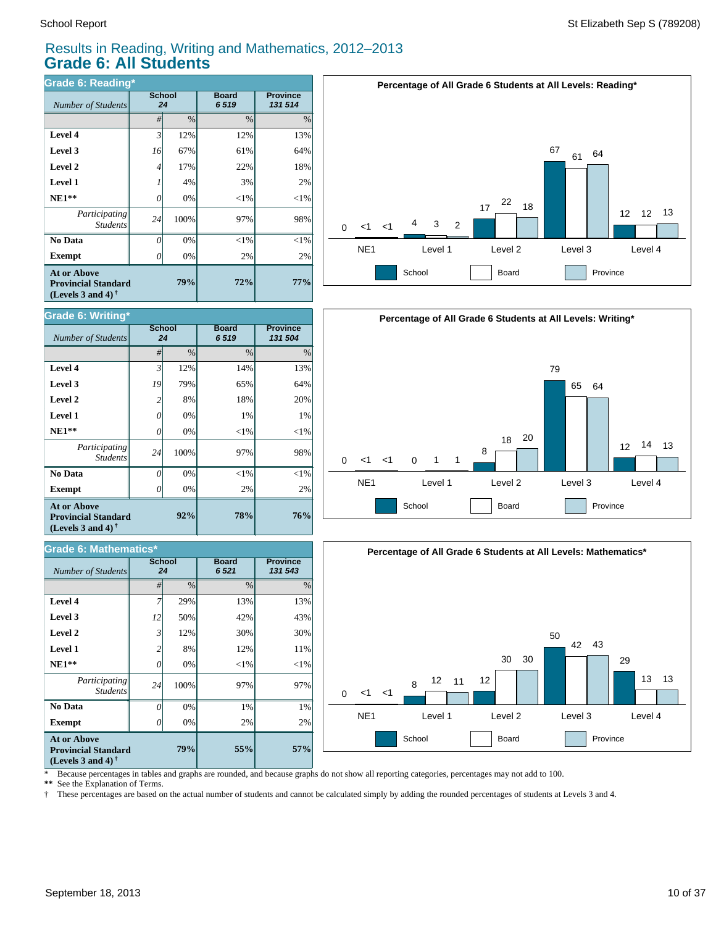### Results in Reading, Writing and Mathematics, 2012–2013 **Grade 6: All Students**

| <b>Grade 6: Reading*</b>                                                       |    |                     |                      |                            |  |  |  |  |  |
|--------------------------------------------------------------------------------|----|---------------------|----------------------|----------------------------|--|--|--|--|--|
| Number of Students                                                             |    | <b>School</b><br>24 | <b>Board</b><br>6519 | <b>Province</b><br>131 514 |  |  |  |  |  |
|                                                                                | #  | $\%$                | $\frac{0}{0}$        | $\%$                       |  |  |  |  |  |
| Level 4                                                                        | 3' | 12%                 | 12%                  | 13%                        |  |  |  |  |  |
| Level 3                                                                        | 16 | 67%                 | 61%                  | 64%                        |  |  |  |  |  |
| Level 2                                                                        | 4  | 17%                 | 22%                  | 18%                        |  |  |  |  |  |
| <b>Level 1</b>                                                                 |    | 4%                  | 3%                   | 2%                         |  |  |  |  |  |
| $NE1**$                                                                        | 0  | 0%                  | $<$ 1%               | $<$ 1%                     |  |  |  |  |  |
| Participating<br><b>Students</b>                                               | 24 | 100%                | 97%                  | 98%                        |  |  |  |  |  |
| No Data                                                                        | 0  | 0%                  | $<$ 1%               | $< 1\%$                    |  |  |  |  |  |
| <b>Exempt</b>                                                                  | Ω  | 0%                  | 2%                   | 2%                         |  |  |  |  |  |
| <b>At or Above</b><br><b>Provincial Standard</b><br>(Levels 3 and 4) $\dagger$ |    | 79%                 | 72%                  | 77%                        |  |  |  |  |  |

| <b>Grade 6: Writing*</b>                                                                             |                |                     |                      |                            |
|------------------------------------------------------------------------------------------------------|----------------|---------------------|----------------------|----------------------------|
| Number of Students                                                                                   |                | <b>School</b><br>24 | <b>Board</b><br>6519 | <b>Province</b><br>131 504 |
|                                                                                                      | #              | $\frac{0}{0}$       | $\frac{0}{0}$        | $\%$                       |
| Level 4                                                                                              | $\mathfrak{Z}$ | 12%                 | 14%                  | 13%                        |
| Level 3                                                                                              | 19             | 79%                 | 65%                  | 64%                        |
| Level 2                                                                                              | $\mathfrak{D}$ | 8%                  | 18%                  | 20%                        |
| <b>Level 1</b>                                                                                       | 0              | 0%                  | 1%                   | 1%                         |
| $NE1**$                                                                                              | 0              | 0%                  | $<$ 1%               | $<$ 1%                     |
| Participating<br><b>Students</b>                                                                     | 24             | 100%                | 97%                  | 98%                        |
| No Data                                                                                              | O              | 0%                  | $<$ 1%               | $<$ 1%                     |
| <b>Exempt</b>                                                                                        | 0              | 0%                  | 2%                   | 2%                         |
| <b>At or Above</b><br><b>Provincial Standard</b><br>(Levels 3 and 4) <sup><math>\dagger</math></sup> |                | 92%                 | 78%                  | 76%                        |

### *#* % % % **Province** *131 543* **Board** *6 521* **School**  $Number of Students$ **57%** 2% 1% 97%  $<1%$ 11% 30% 43% 13% **55%** 2% 1% 97%  $<$ 1% 12% 30% 42% 13% **79%** 0% 0% 100% 0% 8% 12% 50% 29% *0 24 0 2 3 12 7* **Exempt**  $\qquad$  0  **No Data** *Participating Students*  **NE1\*\* Level 1 Level 2 Level 3 Level 4 At or Above Provincial Standard (Levels 3 and 4) † Grade 6: Mathematics\***







\* Because percentages in tables and graphs are rounded, and because graphs do not show all reporting categories, percentages may not add to 100.

See the Explanation of Terms.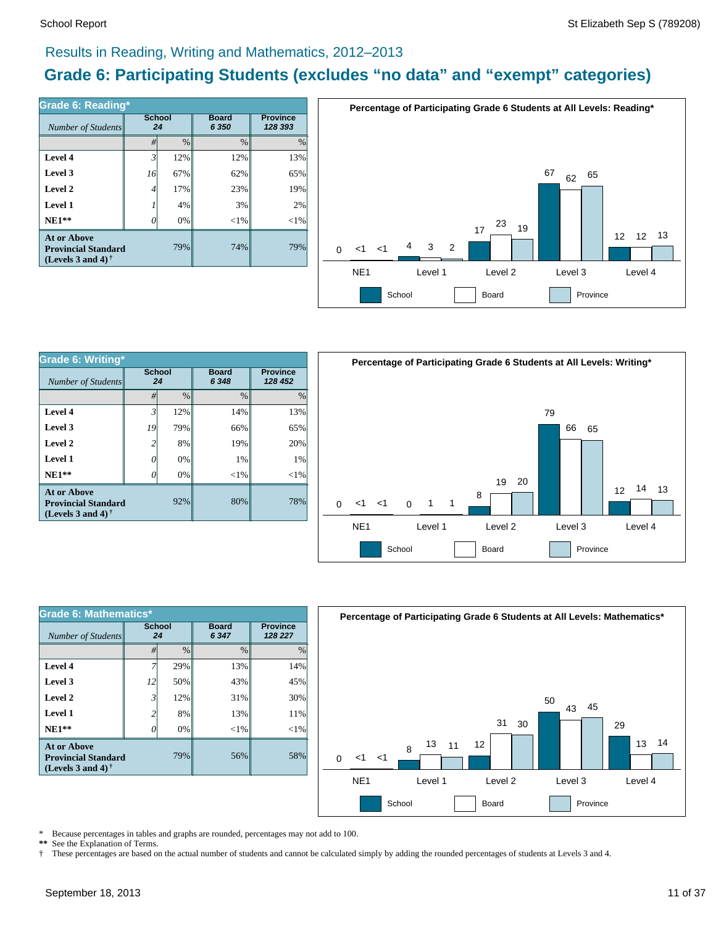# Results in Reading, Writing and Mathematics, 2012–2013

# **Grade 6: Participating Students (excludes "no data" and "exempt" categories)**

| <b>Grade 6: Reading*</b>                                                          |              |               |                         |                            |  |  |  |
|-----------------------------------------------------------------------------------|--------------|---------------|-------------------------|----------------------------|--|--|--|
| Number of Students                                                                | School<br>24 |               | <b>Board</b><br>6 3 5 0 | <b>Province</b><br>128 393 |  |  |  |
|                                                                                   | #            | $\frac{0}{0}$ | $\frac{0}{0}$           | $\frac{0}{0}$              |  |  |  |
| Level 4                                                                           | 3            | 12%           | 12%                     | 13%                        |  |  |  |
| Level 3                                                                           | 16           | 67%           | 62%                     | 65%                        |  |  |  |
| Level 2                                                                           | 4            | 17%           | 23%                     | 19%                        |  |  |  |
| Level 1                                                                           |              | 4%            | 3%                      | 2%                         |  |  |  |
| $NE1**$                                                                           |              | 0%            | ${<}1\%$                | ${<}1\%$                   |  |  |  |
| <b>At or Above</b><br><b>Provincial Standard</b><br>(Levels 3 and 4) $^{\dagger}$ |              | 79%           | 74%                     | 79%                        |  |  |  |



| <b>Grade 6: Writing*</b>                                                              |                     |      |                         |                            |  |  |  |
|---------------------------------------------------------------------------------------|---------------------|------|-------------------------|----------------------------|--|--|--|
| Number of Students                                                                    | <b>School</b><br>24 |      | <b>Board</b><br>6 3 4 8 | <b>Province</b><br>128 452 |  |  |  |
|                                                                                       | #                   | $\%$ | %                       | $\%$                       |  |  |  |
| Level 4                                                                               | 3                   | 12%  | 14%                     | 13%                        |  |  |  |
| Level 3                                                                               | 19                  | 79%  | 66%                     | 65%                        |  |  |  |
| Level 2                                                                               | 2                   | 8%   | 19%                     | 20%                        |  |  |  |
| Level 1                                                                               |                     | 0%   | 1%                      | 1%                         |  |  |  |
| $NE1**$                                                                               |                     | 0%   | ${<}1\%$                | $<$ 1%                     |  |  |  |
| <b>At or Above</b><br>92%<br><b>Provincial Standard</b><br>(Levels 3 and 4) $\dagger$ |                     |      | 80%                     | 78%                        |  |  |  |



| Grade 6: Mathematics*                                                          |                |               |                         |          |  |  |  |
|--------------------------------------------------------------------------------|----------------|---------------|-------------------------|----------|--|--|--|
| Number of Students                                                             | School<br>24   |               | <b>Board</b><br>6 3 4 7 |          |  |  |  |
|                                                                                | #              | $\frac{0}{0}$ | $\frac{0}{0}$           | $\%$     |  |  |  |
| Level 4                                                                        |                | 29%           | 13%                     | 14%      |  |  |  |
| Level 3                                                                        | 12             | 50%           | 43%                     | 45%      |  |  |  |
| Level 2                                                                        | $\mathfrak{Z}$ | 12%           | 31%                     | 30%      |  |  |  |
| Level 1                                                                        | 2              | 8%            | 13%                     | 11%      |  |  |  |
| $NE1**$                                                                        | 0              | 0%            | $<$ 1%                  | ${<}1\%$ |  |  |  |
| <b>At or Above</b><br><b>Provincial Standard</b><br>(Levels 3 and 4) $\dagger$ |                | 79%           | 56%                     | 58%      |  |  |  |



Because percentages in tables and graphs are rounded, percentages may not add to 100.

\*\* See the Explanation of Terms.<br>† These percentages are based of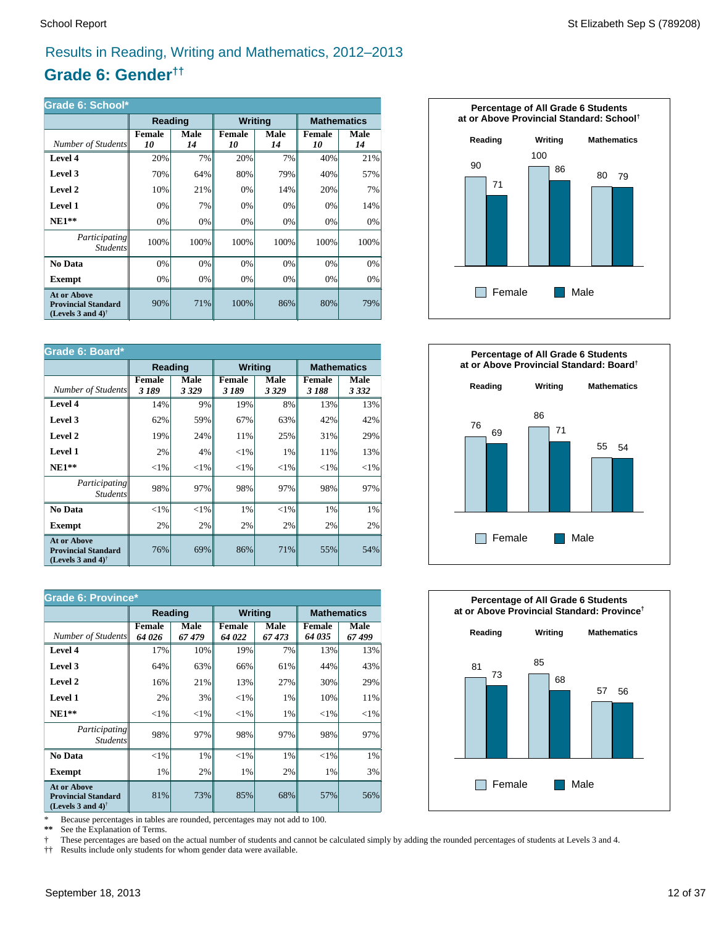# Results in Reading, Writing and Mathematics, 2012–2013

# **Grade 6: Gender††**

| Grade 6: School*                                                               |              |            |                |            |                     |                    |  |  |
|--------------------------------------------------------------------------------|--------------|------------|----------------|------------|---------------------|--------------------|--|--|
|                                                                                | Reading      |            | <b>Writing</b> |            |                     | <b>Mathematics</b> |  |  |
| Number of Students                                                             | Female<br>10 | Male<br>14 | Female<br>10   | Male<br>14 | <b>Female</b><br>10 | Male<br>14         |  |  |
| Level 4                                                                        | 20%          | 7%         | 20%            | 7%         | 40%                 | 21%                |  |  |
| Level 3                                                                        | 70%          | 64%        | 80%            | 79%        | 40%                 | 57%                |  |  |
| Level 2                                                                        | 10%          | 21%        | 0%             | 14%        | 20%                 | 7%                 |  |  |
| Level 1                                                                        | 0%           | 7%         | 0%             | 0%         | 0%                  | 14%                |  |  |
| $NE1**$                                                                        | 0%           | 0%         | 0%             | 0%         | 0%                  | 0%                 |  |  |
| <i>Participating</i><br><i>Students</i>                                        | 100%         | 100%       | 100%           | 100%       | 100%                | 100%               |  |  |
| No Data                                                                        | 0%           | 0%         | 0%             | 0%         | 0%                  | 0%                 |  |  |
| Exempt                                                                         | 0%           | 0%         | $0\%$          | 0%         | 0%                  | $0\%$              |  |  |
| <b>At or Above</b><br><b>Provincial Standard</b><br>(Levels 3 and 4) $\dagger$ | 90%          | 71%        | 100%           | 86%        | 80%                 | 79%                |  |  |

| Grade 6: Board*                                                                                      |                       |                 |                        |                 |                       |                    |  |
|------------------------------------------------------------------------------------------------------|-----------------------|-----------------|------------------------|-----------------|-----------------------|--------------------|--|
|                                                                                                      | <b>Reading</b>        |                 | <b>Writing</b>         |                 |                       | <b>Mathematics</b> |  |
| Number of Students                                                                                   | <b>Female</b><br>3189 | Male<br>3 3 2 9 | <b>Female</b><br>3 189 | Male<br>3 3 2 9 | <b>Female</b><br>3188 | Male<br>3 3 3 2    |  |
| Level 4                                                                                              | 14%                   | 9%              | 19%                    | 8%              | 13%                   | 13%                |  |
| Level 3                                                                                              | 62%                   | 59%             | 67%                    | 63%             | 42%                   | 42%                |  |
| Level 2                                                                                              | 19%                   | 24%             | 11%                    | 25%             | 31%                   | 29%                |  |
| Level 1                                                                                              | 2%                    | 4%              | ${<}1\%$               | 1%              | 11%                   | 13%                |  |
| $NE1**$                                                                                              | ${<}1\%$              | ${<}1\%$        | ${<}1\%$               | ${<}1\%$        | ${<}1\%$              | ${<}1\%$           |  |
| Participating<br><b>Students</b>                                                                     | 98%                   | 97%             | 98%                    | 97%             | 98%                   | 97%                |  |
| No Data                                                                                              | ${<}1\%$              | ${<}1\%$        | 1%                     | ${<}1\%$        | 1%                    | 1%                 |  |
| <b>Exempt</b>                                                                                        | 2%                    | 2%              | 2%                     | 2%              | 2%                    | 2%                 |  |
| <b>At or Above</b><br><b>Provincial Standard</b><br>(Levels 3 and 4) <sup><math>\dagger</math></sup> | 76%                   | 69%             | 86%                    | 71%             | 55%                   | 54%                |  |

| <b>Grade 6: Province*</b>                                                                            |                        |               |                  |               |                         |                    |  |
|------------------------------------------------------------------------------------------------------|------------------------|---------------|------------------|---------------|-------------------------|--------------------|--|
|                                                                                                      | Reading                |               | <b>Writing</b>   |               |                         | <b>Mathematics</b> |  |
| Number of Students                                                                                   | <b>Female</b><br>64026 | Male<br>67479 | Female<br>64 022 | Male<br>67473 | <b>Female</b><br>64 035 | Male<br>67499      |  |
| Level 4                                                                                              | 17%                    | 10%           | 19%              | 7%            | 13%                     | 13%                |  |
| Level 3                                                                                              | 64%                    | 63%           | 66%              | 61%           | 44%                     | 43%                |  |
| Level 2                                                                                              | 16%                    | 21%           | 13%              | 27%           | 30%                     | 29%                |  |
| Level 1                                                                                              | 2%                     | 3%            | ${<}1\%$         | 1%            | 10%                     | 11%                |  |
| $NE1**$                                                                                              | ${<}1\%$               | ${<}1\%$      | ${<}1\%$         | 1%            | ${<}1\%$                | ${<}1\%$           |  |
| Participating<br><b>Students</b>                                                                     | 98%                    | 97%           | 98%              | 97%           | 98%                     | 97%                |  |
| No Data                                                                                              | $<$ 1%                 | 1%            | $<$ 1%           | 1%            | $<$ 1%                  | 1%                 |  |
| <b>Exempt</b>                                                                                        | 1%                     | 2%            | 1%               | 2%            | 1%                      | 3%                 |  |
| <b>At or Above</b><br><b>Provincial Standard</b><br>(Levels 3 and 4) <sup><math>\dagger</math></sup> | 81%                    | 73%           | 85%              | 68%           | 57%                     | 56%                |  |

\* Because percentages in tables are rounded, percentages may not add to 100.<br>\*\* See the Explanation of Terms

See the Explanation of Terms.

† These percentages are based on the actual number of students and cannot be calculated simply by adding the rounded percentages of students at Levels 3 and 4.

†† Results include only students for whom gender data were available.





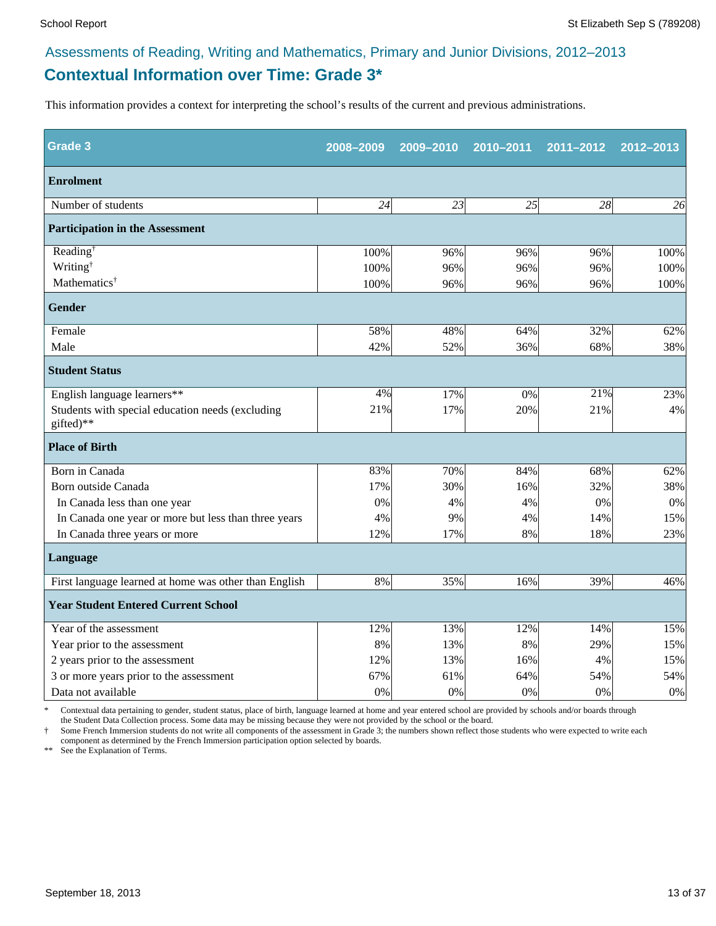# **Contextual Information over Time: Grade 3\***

This information provides a context for interpreting the school's results of the current and previous administrations.

| <b>Grade 3</b>                                                | 2008-2009 | 2009-2010 | 2010-2011 | 2011-2012 | 2012-2013 |
|---------------------------------------------------------------|-----------|-----------|-----------|-----------|-----------|
| <b>Enrolment</b>                                              |           |           |           |           |           |
| Number of students                                            | 24        | 23        | 25        | 28        | 26        |
| <b>Participation in the Assessment</b>                        |           |           |           |           |           |
| Reading <sup>†</sup>                                          | 100%      | 96%       | 96%       | 96%       | 100%      |
| Writing <sup>†</sup>                                          | 100%      | 96%       | 96%       | 96%       | 100%      |
| Mathematics <sup>†</sup>                                      | 100%      | 96%       | 96%       | 96%       | 100%      |
| <b>Gender</b>                                                 |           |           |           |           |           |
| Female                                                        | 58%       | 48%       | 64%       | 32%       | 62%       |
| Male                                                          | 42%       | 52%       | 36%       | 68%       | 38%       |
| <b>Student Status</b>                                         |           |           |           |           |           |
| English language learners**                                   | 4%        | 17%       | 0%        | 21%       | 23%       |
| Students with special education needs (excluding<br>gifted)** | 21%       | 17%       | 20%       | 21%       | 4%        |
| <b>Place of Birth</b>                                         |           |           |           |           |           |
| Born in Canada                                                | 83%       | 70%       | 84%       | 68%       | 62%       |
| Born outside Canada                                           | 17%       | 30%       | 16%       | 32%       | 38%       |
| In Canada less than one year                                  | 0%        | 4%        | 4%        | 0%        | 0%        |
| In Canada one year or more but less than three years          | 4%        | 9%        | 4%        | 14%       | 15%       |
| In Canada three years or more                                 | 12%       | 17%       | 8%        | 18%       | 23%       |
| Language                                                      |           |           |           |           |           |
| First language learned at home was other than English         | 8%        | 35%       | 16%       | 39%       | 46%       |
| <b>Year Student Entered Current School</b>                    |           |           |           |           |           |
| Year of the assessment                                        | 12%       | 13%       | 12%       | 14%       | 15%       |
| Year prior to the assessment                                  | 8%        | 13%       | 8%        | 29%       | 15%       |
| 2 years prior to the assessment                               | 12%       | 13%       | 16%       | 4%        | 15%       |
| 3 or more years prior to the assessment                       | 67%       | 61%       | 64%       | 54%       | 54%       |
| Data not available                                            | 0%        | 0%        | 0%        | 0%        | $0\%$     |

Contextual data pertaining to gender, student status, place of birth, language learned at home and year entered school are provided by schools and/or boards through the Student Data Collection process. Some data may be missing because they were not provided by the school or the board.

† Some French Immersion students do not write all components of the assessment in Grade 3; the numbers shown reflect those students who were expected to write each component as determined by the French Immersion participation option selected by boards.

\*\* See the Explanation of Terms.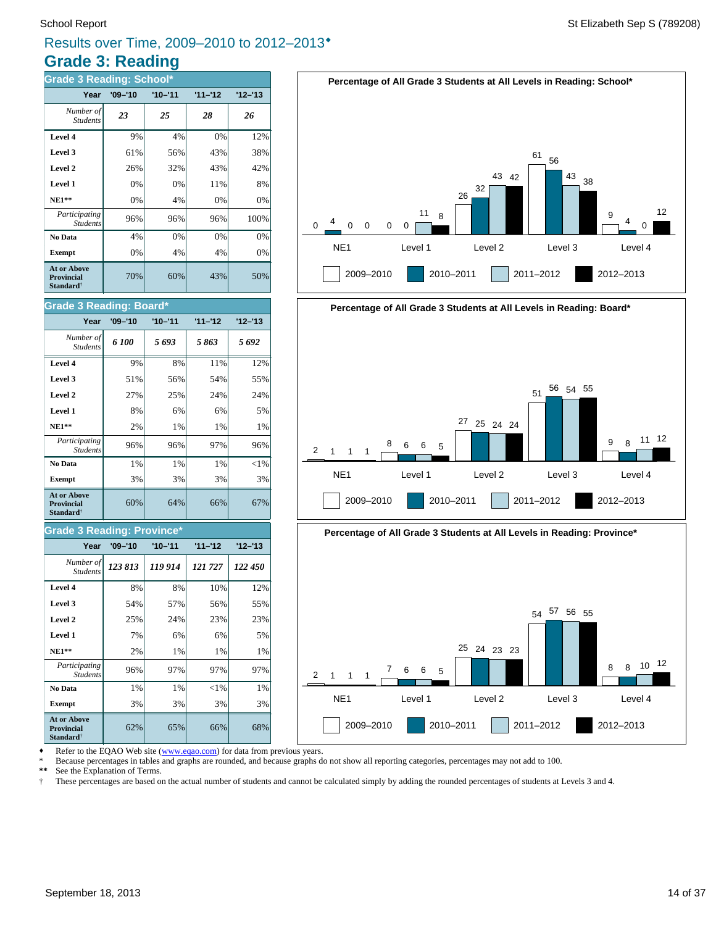# **Grade 3: Reading** Results over Time, 2009–2010 to 2012–2013®

| <b>Grade 3 Reading: School*</b>                                  |             |             |           |           |  |  |  |  |
|------------------------------------------------------------------|-------------|-------------|-----------|-----------|--|--|--|--|
| Year                                                             | $'09 - '10$ | $'10 - '11$ | $11 - 12$ | $12 - 13$ |  |  |  |  |
| Number of<br><b>Students</b>                                     | 23          | 25          | 28        | 26        |  |  |  |  |
| Level 4                                                          | 9%          | 4%          | 0%        | 12%       |  |  |  |  |
| Level 3                                                          | 61%         | 56%         | 43%       | 38%       |  |  |  |  |
| Level 2                                                          | 26%         | 32%         | 43%       | 42%       |  |  |  |  |
| Level 1                                                          | 0%          | 0%          | 11%       | 8%        |  |  |  |  |
| <b>NE1**</b>                                                     | 0%          | 4%          | 0%        | 0%        |  |  |  |  |
| Participating<br><b>Students</b>                                 | 96%         | 96%         | 96%       | 100%      |  |  |  |  |
| No Data                                                          | 4%          | 0%          | 0%        | 0%        |  |  |  |  |
| <b>Exempt</b>                                                    | 0%          | 4%          | 4%        | 0%        |  |  |  |  |
| At or Above<br><b>Provincial</b><br><b>Standard</b> <sup>†</sup> | 70%         | 60%         | 43%       | 50%       |  |  |  |  |

### **Grade 3 Reading: Board\***

| Year                                                                    | $'09 - '10$ | $'10 - '11$ | $11 - 12$ | $12 - 13$ |
|-------------------------------------------------------------------------|-------------|-------------|-----------|-----------|
| Number of<br><b>Students</b>                                            | 6 100       | 5693        | 5863      | 5692      |
| Level 4                                                                 | 9%          | 8%          | 11%       | 12%       |
| Level 3                                                                 | 51%         | 56%         | 54%       | 55%       |
| Level 2                                                                 | 27%         | 25%         | 24%       | 24%       |
| Level 1                                                                 | 8%          | 6%          | 6%        | 5%        |
| $NE1**$                                                                 | 2%          | 1%          | $1\%$     | 1%        |
| Participating<br><b>Students</b>                                        | 96%         | 96%         | 97%       | 96%       |
| No Data                                                                 | 1%          | 1%          | 1%        | $< 1\%$   |
| <b>Exempt</b>                                                           | 3%          | 3%          | 3%        | 3%        |
| <b>At or Above</b><br><b>Provincial</b><br><b>Standard</b> <sup>†</sup> | 60%         | 64%         | 66%       | 67%       |

# **Grade 3 Reading: Province\***

| Year                                                         | $'09 - '10$ | $'10 - '11$ | $11 - 12$ | $12 - 13$ |
|--------------------------------------------------------------|-------------|-------------|-----------|-----------|
| Number of<br><b>Students</b>                                 | 123 813     | 119914      | 121727    | 122 450   |
| Level 4                                                      | 8%          | 8%          | 10%       | 12%       |
| Level 3                                                      | 54%         | 57%         | 56%       | 55%       |
| Level 2                                                      | 25%         | 24%         | 23%       | 23%       |
| Level 1                                                      | 7%          | 6%          | 6%        | 5%        |
| <b>NE1**</b>                                                 | 2%          | 1%          | 1%        | 1%        |
| Participating<br><b>Students</b>                             | 96%         | 97%         | 97%       | 97%       |
| No Data                                                      | 1%          | 1%          | $<$ 1%    | 1%        |
| <b>Exempt</b>                                                | 3%          | 3%          | 3%        | 3%        |
| <b>At or Above</b><br><b>Provincial</b><br><b>Standard</b> † | 62%         | 65%         | 66%       | 68%       |







2009–2010 2010–2011 2011–2012 2012–2013



Refer to the EQAO Web site (www.eqao.com) for data from previous years.

\* Because percentages in tables and graphs are rounded, and because graphs do not show all reporting categories, percentages may not add to 100.

\*\* See the Explanation of Terms.<br><sup>†</sup> These percentages are based of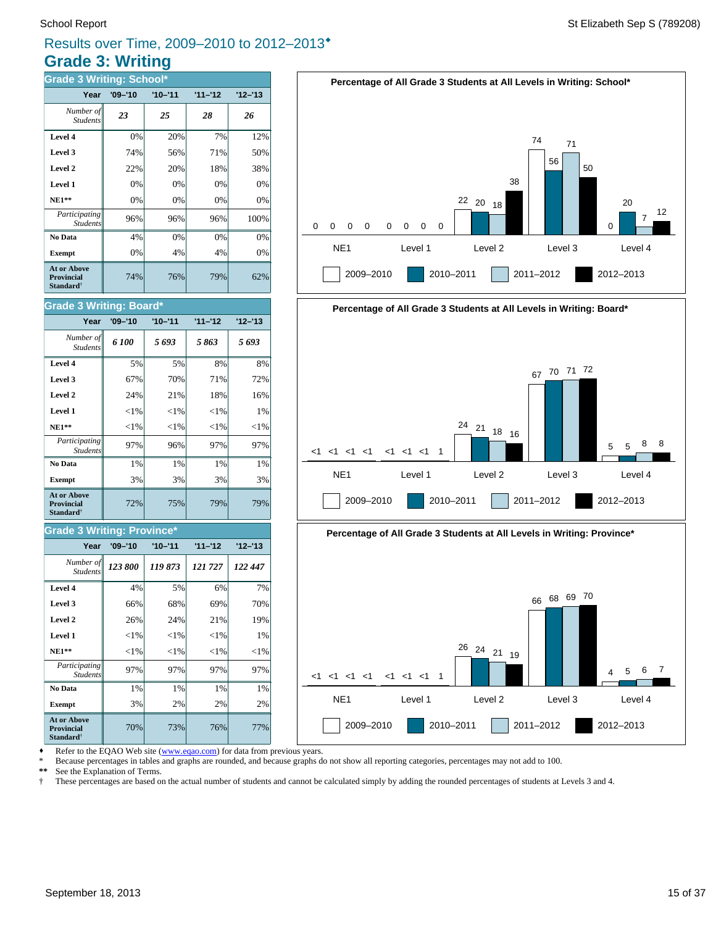# **Grade 3: Writing** Results over Time, 2009–2010 to 2012–2013®

| <b>Grade 3 Writing: School*</b>                                         |             |             |           |           |  |  |  |  |
|-------------------------------------------------------------------------|-------------|-------------|-----------|-----------|--|--|--|--|
| Year                                                                    | $'09 - '10$ | $'10 - '11$ | $11 - 12$ | $12 - 13$ |  |  |  |  |
| Number of<br><b>Students</b>                                            | 23          | 25          | 28        | 26        |  |  |  |  |
| Level 4                                                                 | 0%          | 20%         | 7%        | 12%       |  |  |  |  |
| Level 3                                                                 | 74%         | 56%         | 71%       | 50%       |  |  |  |  |
| Level 2                                                                 | 22%         | 20%         | 18%       | 38%       |  |  |  |  |
| Level 1                                                                 | 0%          | 0%          | 0%        | 0%        |  |  |  |  |
| $NE1**$                                                                 | 0%          | 0%          | 0%        | 0%        |  |  |  |  |
| Participating<br><b>Students</b>                                        | 96%         | 96%         | 96%       | 100%      |  |  |  |  |
| No Data                                                                 | 4%          | 0%          | 0%        | 0%        |  |  |  |  |
| <b>Exempt</b>                                                           | 0%          | 4%          | 4%        | 0%        |  |  |  |  |
| <b>At or Above</b><br><b>Provincial</b><br><b>Standard</b> <sup>†</sup> | 74%         | 76%         | 79%       | 62%       |  |  |  |  |

### **Grade 3 Writing: Board\***

| Year                                                             | $'09 - '10$ | $'10 - '11$ | $11 - 12$ | $12 - 13$ |
|------------------------------------------------------------------|-------------|-------------|-----------|-----------|
| Number of<br><b>Students</b>                                     | 6 100       | 5693        | 5863      | 5693      |
| Level 4                                                          | 5%          | 5%          | 8%        | 8%        |
| Level 3                                                          | 67%         | 70%         | 71%       | 72%       |
| Level 2                                                          | 24%         | 21%         | 18%       | 16%       |
| Level 1                                                          | ${<}1\%$    | ${<}1\%$    | ${<}1\%$  | 1%        |
| $NE1**$                                                          | ${<}1\%$    | ${<}1\%$    | ${<}1\%$  | ${<}1\%$  |
| Participating<br><b>Students</b>                                 | 97%         | 96%         | 97%       | 97%       |
| No Data                                                          | $1\%$       | $1\%$       | $1\%$     | 1%        |
| <b>Exempt</b>                                                    | 3%          | 3%          | 3%        | 3%        |
| <b>At or Above</b><br><b>Provincial</b><br>Standard <sup>†</sup> | 72%         | 75%         | 79%       | 79%       |

### **Grade 3 Writing: Province\***

| Year                                                             | $'09 - '10$ | $'10 - '11$ | $11 - 12$ | $'12 - 13$ |
|------------------------------------------------------------------|-------------|-------------|-----------|------------|
| Number of<br><b>Students</b>                                     | 123 800     | 119873      | 121 727   | 122 447    |
| Level 4                                                          | 4%          | 5%          | 6%        | 7%         |
| Level 3                                                          | 66%         | 68%         | 69%       | 70%        |
| Level 2                                                          | 26%         | 24%         | 21%       | 19%        |
| Level 1                                                          | $<$ 1%      | ${<}1\%$    | ${<}1\%$  | 1%         |
| <b>NE1**</b>                                                     | $<$ 1%      | $<$ 1%      | $<$ 1%    | $<$ 1%     |
| <i>Participating</i><br><b>Students</b>                          | 97%         | 97%         | 97%       | 97%        |
| No Data                                                          | 1%          | 1%          | 1%        | 1%         |
| <b>Exempt</b>                                                    | 3%          | 2%          | 2%        | 2%         |
| At or Above<br><b>Provincial</b><br><b>Standard</b> <sup>†</sup> | 70%         | 73%         | 76%       | 77%        |









Refer to the EQAO Web site (www.eqao.com) for data from previous years.

\* Because percentages in tables and graphs are rounded, and because graphs do not show all reporting categories, percentages may not add to 100.

\*\* See the Explanation of Terms.<br><sup>†</sup> These percentages are based o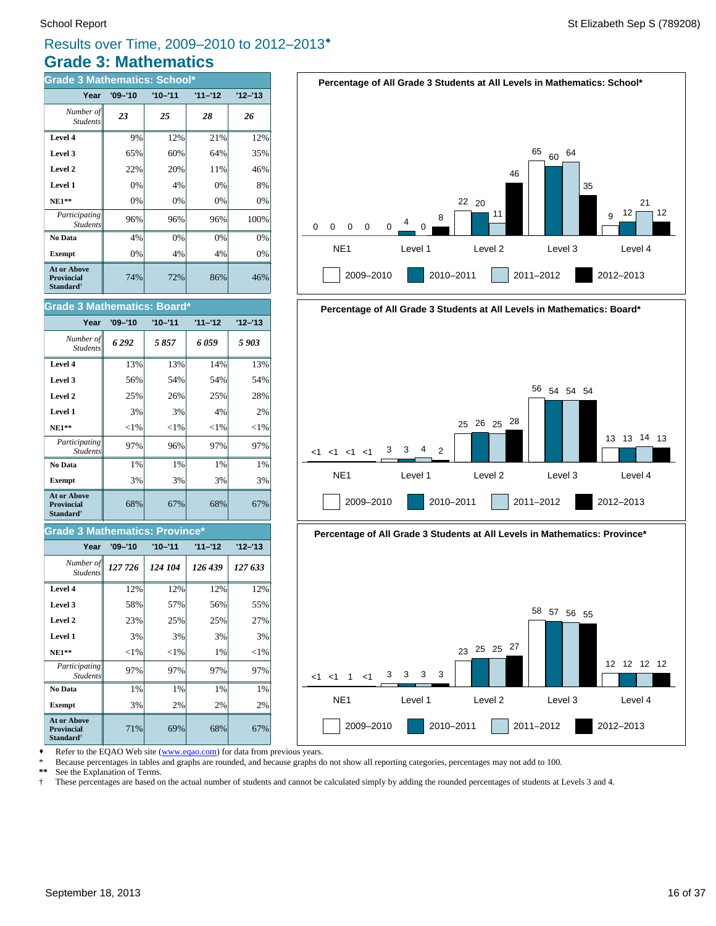# **Grade 3: Mathematics** Results over Time, 2009–2010 to 2012–2013®

| <b>Grade 3 Mathematics: School*</b>                       |             |             |           |           |  |
|-----------------------------------------------------------|-------------|-------------|-----------|-----------|--|
| Year                                                      | $'09 - '10$ | $'10 - '11$ | $11 - 12$ | $12 - 13$ |  |
| Number of<br><b>Students</b>                              | 23          | 25          | 28        | 26        |  |
| Level 4                                                   | 9%          | 12%         | 21%       | 12%       |  |
| Level 3                                                   | 65%         | 60%         | 64%       | 35%       |  |
| Level 2                                                   | 22%         | 20%         | 11%       | 46%       |  |
| Level 1                                                   | 0%          | 4%          | 0%        | 8%        |  |
| $NE1**$                                                   | 0%          | 0%          | 0%        | $0\%$     |  |
| Participating<br><b>Students</b>                          | 96%         | 96%         | 96%       | 100%      |  |
| No Data                                                   | 4%          | 0%          | 0%        | $0\%$     |  |
| <b>Exempt</b>                                             | 0%          | 4%          | 4%        | 0%        |  |
| At or Above<br><b>Provincial</b><br>Standard <sup>†</sup> | 74%         | 72%         | 86%       | 46%       |  |

68% 67% 68% 67% **Exempt**  $\begin{vmatrix} 3\% & 3\% \end{vmatrix}$  3% 3% 3% **No Data**  $\begin{array}{|c|c|c|c|} \hline \textbf{No Data} & 1\% & 1\% & 1\% \hline \end{array}$ *Participating* 97% 96% 97% 97% *StudentsX* **NE1\*\***  $|\hspace{-.1cm}1\%| \hspace{-.1cm}|\hspace{-.1cm}|\hspace{-.1cm}|\hspace{-.1cm}|\hspace{-.1cm}|\hspace{-.1cm}|\hspace{-.1cm}|\hspace{-.1cm}|\hspace{-.1cm}|\hspace{-.1cm}|\hspace{-.1cm}|\hspace{-.1cm}|\hspace{-.1cm}|\hspace{-.1cm}|\hspace{-.1cm}|\hspace{-.1cm}|\hspace{-.1cm}|\hspace{-.1cm}|\hspace{-.1cm}|\hspace{-.1cm}|\hspace{-.1cm}|\hspace{-.1cm}|\hspace{-.1cm}|\hspace{-.1cm}|\hspace{-.1cm}|\$ **Level 1** 3% 3% 4% 2% **Level 2**  $\begin{array}{|c|c|c|c|} \hline \end{array}$  25% 25% 28% **Level 3**  $\begin{vmatrix} 56\% & 54\% \end{vmatrix}$  54% 54% 54% **Level 4** 13% 13% 14% 14% 13% *6 292 5 857 6 059 5 903 Number of* Student. **Year '09–'10 '10–'11 '11–'12 '12–'13 Grade 3 Mathematics: Board\* At or Above Provincial Standard**†

### **Grade 3 Mathematics: Province\***

| Year                                                                    | $'09 - '10$ | $'10 - '11$ | $11 - 12$ | $12 - 13$ |
|-------------------------------------------------------------------------|-------------|-------------|-----------|-----------|
| Number of<br><b>Students</b>                                            | 127 726     | 124 104     | 126 439   | 127 633   |
| Level 4                                                                 | 12%         | 12%         | 12%       | 12%       |
| Level 3                                                                 | 58%         | 57%         | 56%       | 55%       |
| Level 2                                                                 | 23%         | 25%         | 25%       | 27%       |
| Level 1                                                                 | 3%          | 3%          | 3%        | 3%        |
| <b>NE1**</b>                                                            | ${<}1\%$    | ${<}1\%$    | 1%        | ${<}1\%$  |
| Participating<br><b>Students</b>                                        | 97%         | 97%         | 97%       | 97%       |
| No Data                                                                 | 1%          | 1%          | 1%        | 1%        |
| <b>Exempt</b>                                                           | 3%          | 2%          | 2%        | 2%        |
| <b>At or Above</b><br><b>Provincial</b><br><b>Standard</b> <sup>†</sup> | 71%         | 69%         | 68%       | 67%       |









Refer to the EQAO Web site (www.eqao.com) for data from previous years.

\* Because percentages in tables and graphs are rounded, and because graphs do not show all reporting categories, percentages may not add to 100.

\*\* See the Explanation of Terms.<br>
<sup>†</sup> These percentages are based on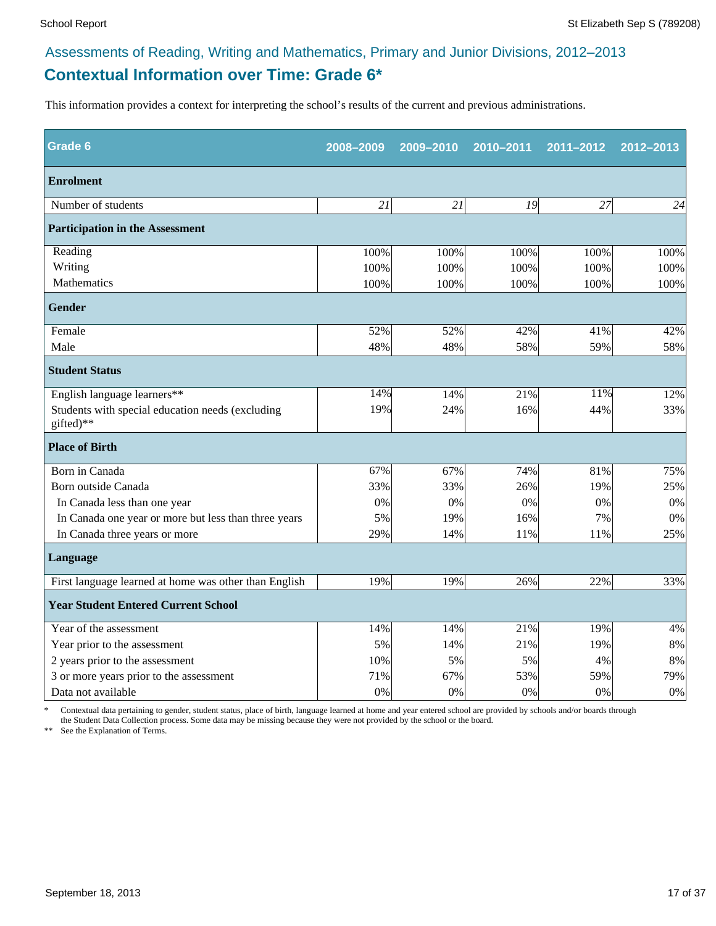# **Contextual Information over Time: Grade 6\***

This information provides a context for interpreting the school's results of the current and previous administrations.

| <b>Grade 6</b>                                                | 2008-2009 | 2009-2010 | 2010-2011 | 2011-2012 | 2012-2013 |
|---------------------------------------------------------------|-----------|-----------|-----------|-----------|-----------|
| <b>Enrolment</b>                                              |           |           |           |           |           |
| Number of students                                            | 21        | 21        | 19        | 27        | 24        |
| <b>Participation in the Assessment</b>                        |           |           |           |           |           |
| Reading                                                       | 100%      | 100%      | 100%      | 100%      | 100%      |
| Writing                                                       | 100%      | 100%      | 100%      | 100%      | 100%      |
| Mathematics                                                   | 100%      | 100%      | 100%      | 100%      | 100%      |
| Gender                                                        |           |           |           |           |           |
| Female                                                        | 52%       | 52%       | 42%       | 41%       | 42%       |
| Male                                                          | 48%       | 48%       | 58%       | 59%       | 58%       |
| <b>Student Status</b>                                         |           |           |           |           |           |
| English language learners**                                   | 14%       | 14%       | 21%       | 11%       | 12%       |
| Students with special education needs (excluding<br>gifted)** | 19%       | 24%       | 16%       | 44%       | 33%       |
| <b>Place of Birth</b>                                         |           |           |           |           |           |
| Born in Canada                                                | 67%       | 67%       | 74%       | 81%       | 75%       |
| Born outside Canada                                           | 33%       | 33%       | 26%       | 19%       | 25%       |
| In Canada less than one year                                  | 0%        | 0%        | 0%        | 0%        | 0%        |
| In Canada one year or more but less than three years          | 5%        | 19%       | 16%       | 7%        | 0%        |
| In Canada three years or more                                 | 29%       | 14%       | 11%       | 11%       | 25%       |
| Language                                                      |           |           |           |           |           |
| First language learned at home was other than English         | 19%       | 19%       | 26%       | 22%       | 33%       |
| <b>Year Student Entered Current School</b>                    |           |           |           |           |           |
| Year of the assessment                                        | 14%       | 14%       | 21%       | 19%       | 4%        |
| Year prior to the assessment                                  | 5%        | 14%       | 21%       | 19%       | $8\%$     |
| 2 years prior to the assessment                               | 10%       | 5%        | 5%        | 4%        | 8%        |
| 3 or more years prior to the assessment                       | 71%       | 67%       | 53%       | 59%       | 79%       |
| Data not available                                            | 0%        | 0%        | 0%        | 0%        | 0%        |

\* Contextual data pertaining to gender, student status, place of birth, language learned at home and year entered school are provided by schools and/or boards through the Student Data Collection process. Some data may be missing because they were not provided by the school or the board.

\*\* See the Explanation of Terms.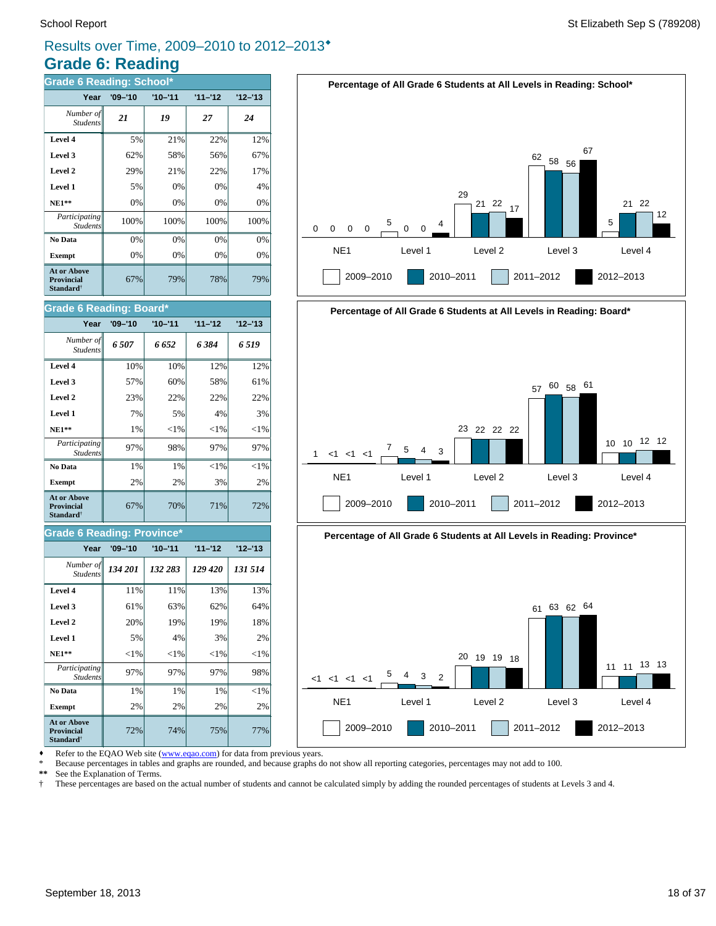# **Grade 6: Reading** Results over Time, 2009–2010 to 2012–2013®

| <b>Grade 6 Reading: School*</b>                                  |             |             |           |           |  |
|------------------------------------------------------------------|-------------|-------------|-----------|-----------|--|
| Year                                                             | $'09 - '10$ | $'10 - '11$ | $11 - 12$ | $12 - 13$ |  |
| Number of<br><b>Students</b>                                     | 21          | 19          | 27        | 24        |  |
| Level 4                                                          | 5%          | 21%         | 22%       | 12%       |  |
| Level 3                                                          | 62%         | 58%         | 56%       | 67%       |  |
| Level 2                                                          | 29%         | 21%         | 22%       | 17%       |  |
| Level 1                                                          | 5%          | 0%          | 0%        | 4%        |  |
| $NE1**$                                                          | 0%          | 0%          | 0%        | 0%        |  |
| Participating<br><b>Students</b>                                 | 100%        | 100%        | 100%      | 100%      |  |
| No Data                                                          | 0%          | 0%          | 0%        | 0%        |  |
| <b>Exempt</b>                                                    | 0%          | 0%          | 0%        | 0%        |  |
| At or Above<br><b>Provincial</b><br><b>Standard</b> <sup>†</sup> | 67%         | 79%         | 78%       | 79%       |  |

| Grade 6 Reading: Board*                                          |             |             |           |           |  |
|------------------------------------------------------------------|-------------|-------------|-----------|-----------|--|
| Year                                                             | $'09 - '10$ | $'10 - '11$ | $11 - 12$ | $12 - 13$ |  |
| Number of<br><b>Students</b>                                     | 6507        | 6 652       | 6384      | 6 5 19    |  |
| Level 4                                                          | 10%         | 10%         | 12%       | 12%       |  |
| Level 3                                                          | 57%         | 60%         | 58%       | 61%       |  |
| Level 2                                                          | 23%         | 22%         | 22%       | 22%       |  |
| Level 1                                                          | 7%          | 5%          | 4%        | 3%        |  |
| $NE1**$                                                          | 1%          | ${<}1\%$    | ${<}1\%$  | ${<}1\%$  |  |
| Participating<br><b>Students</b>                                 | 97%         | 98%         | 97%       | 97%       |  |
| No Data                                                          | 1%          | 1%          | ${<}1\%$  | ${<}1\%$  |  |
| <b>Exempt</b>                                                    | 2%          | 2%          | 3%        | 2%        |  |
| <b>At or Above</b><br><b>Provincial</b><br>Standard <sup>†</sup> | 67%         | 70%         | 71%       | 72%       |  |

### **Grade 6 Reading: Province\***

| Year                                                                    | $'09 - '10$ | $'10 - '11$ | $11 - 12$ | $12 - 13$ |
|-------------------------------------------------------------------------|-------------|-------------|-----------|-----------|
| Number of<br><b>Students</b>                                            | 134 201     | 132 283     | 129 420   | 131 514   |
| Level 4                                                                 | 11%         | 11%         | 13%       | 13%       |
| Level 3                                                                 | 61%         | 63%         | 62%       | 64%       |
| Level 2                                                                 | 20%         | 19%         | 19%       | 18%       |
| Level 1                                                                 | 5%          | 4%          | 3%        | 2%        |
| <b>NE1**</b>                                                            | ${<}1\%$    | $<$ 1%      | ${<}1\%$  | ${<}1\%$  |
| Participating<br><b>Students</b>                                        | 97%         | 97%         | 97%       | 98%       |
| No Data                                                                 | 1%          | 1%          | 1%        | $<$ 1%    |
| <b>Exempt</b>                                                           | 2%          | 2%          | 2%        | 2%        |
| <b>At or Above</b><br><b>Provincial</b><br><b>Standard</b> <sup>†</sup> | 72%         | 74%         | 75%       | 77%       |





![](_page_17_Figure_9.jpeg)

• Refer to the EQAO Web site (www.eqao.com) for data from previous years.

\* Because percentages in tables and graphs are rounded, and because graphs do not show all reporting categories, percentages may not add to 100.

\*\* See the Explanation of Terms.<br><sup>†</sup> These percentages are based on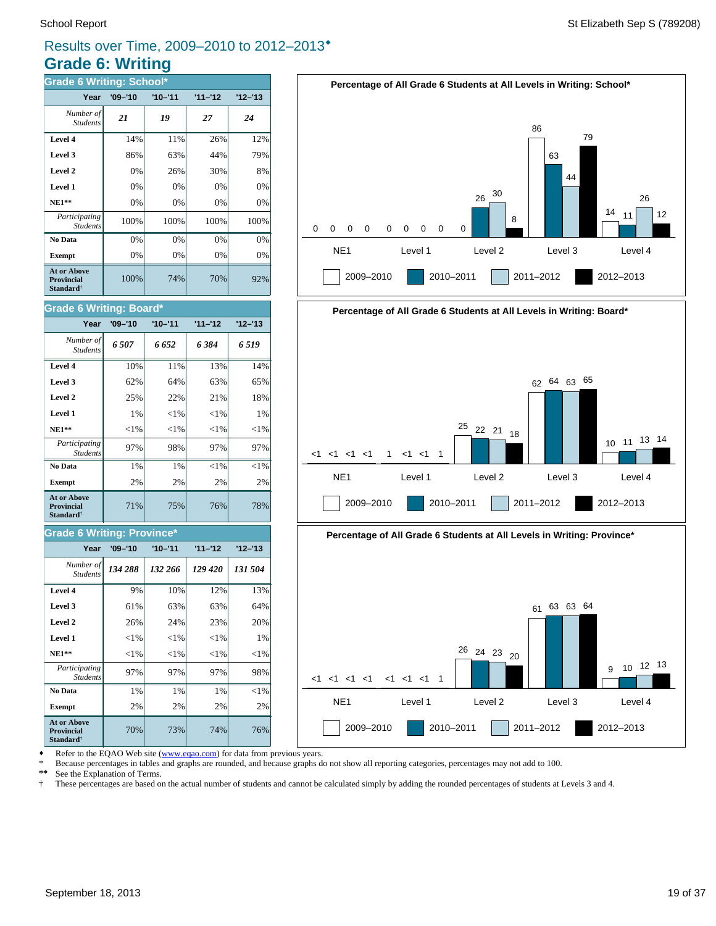# **Grade 6: Writing** Results over Time, 2009–2010 to 2012–2013<sup>\*</sup>

| <b>Grade 6 Writing: School*</b>                                         |             |             |           |           |  |
|-------------------------------------------------------------------------|-------------|-------------|-----------|-----------|--|
| Year                                                                    | $'09 - '10$ | $'10 - '11$ | $11 - 12$ | $12 - 13$ |  |
| Number of<br><b>Students</b>                                            | 21          | 19          | 27        | 24        |  |
| Level 4                                                                 | 14%         | 11%         | 26%       | 12%       |  |
| Level 3                                                                 | 86%         | 63%         | 44%       | 79%       |  |
| Level 2                                                                 | 0%          | 26%         | 30%       | 8%        |  |
| Level 1                                                                 | 0%          | 0%          | 0%        | 0%        |  |
| $NE1**$                                                                 | 0%          | 0%          | 0%        | 0%        |  |
| Participating<br><b>Students</b>                                        | 100%        | 100%        | 100%      | 100%      |  |
| No Data                                                                 | 0%          | 0%          | 0%        | 0%        |  |
| <b>Exempt</b>                                                           | 0%          | 0%          | 0%        | 0%        |  |
| <b>At or Above</b><br><b>Provincial</b><br><b>Standard</b> <sup>†</sup> | 100%        | 74%         | 70%       | 92%       |  |

### **Grade 6 Writing: Board\***

| Year                                                                    | $'09 - '10$ | $'10 - '11$ | $11 - 12$ | $12 - 13$ |
|-------------------------------------------------------------------------|-------------|-------------|-----------|-----------|
| Number of<br><b>Students</b>                                            | 6507        | 6 652       | 6384      | 6 5 19    |
| Level 4                                                                 | 10%         | 11%         | 13%       | 14%       |
| Level 3                                                                 | 62%         | 64%         | 63%       | 65%       |
| Level 2                                                                 | 25%         | 22%         | 21%       | 18%       |
| Level 1                                                                 | 1%          | ${<}1\%$    | ${<}1\%$  | 1%        |
| $NE1**$                                                                 | ${<}1\%$    | ${<}1\%$    | ${<}1\%$  | ${<}1\%$  |
| Participating<br><b>Students</b>                                        | 97%         | 98%         | 97%       | 97%       |
| No Data                                                                 | 1%          | 1%          | ${<}1\%$  | ${<}1\%$  |
| <b>Exempt</b>                                                           | 2%          | 2%          | 2%        | 2%        |
| <b>At or Above</b><br><b>Provincial</b><br><b>Standard</b> <sup>†</sup> | 71%         | 75%         | 76%       | 78%       |

### **Grade 6 Writing: Province\***

| Year                             | $'09 - '10$ | $'10 - '11$ | $11 - 12$ | $'12 - 13$ |
|----------------------------------|-------------|-------------|-----------|------------|
| Number of<br><b>Students</b>     | 134 288     | 132 266     | 129 420   | 131 504    |
| Level 4                          | 9%          | 10%         | 12%       | 13%        |
| Level 3                          | 61%         | 63%         | 63%       | 64%        |
| Level 2                          | 26%         | 24%         | 23%       | 20%        |
| Level 1                          | ${<}1\%$    | ${<}1\%$    | $< 1\%$   | 1%         |
| $NE1**$                          | ${<}1\%$    | ${<}1\%$    | ${<}1\%$  | ${<}1\%$   |
| Participating<br><b>Students</b> | 97%         | 97%         | 97%       | 98%        |
| No Data                          | 1%          | 1%          | 1%        | $<$ 1%     |
| <b>Exempt</b>                    | 2%          | 2%          | 2%        | 2%         |
| At or Above<br><b>Provincial</b> | 70%         | 73%         | 74%       | 76%        |

![](_page_18_Figure_8.jpeg)

![](_page_18_Figure_9.jpeg)

![](_page_18_Figure_10.jpeg)

NE1 Level 1 Level 2 Level 3 Level 4

2009–2010 2010–2011 2011–2012 2012–2013

2009–2010 2010–2011 2011–2012 2012–2013

**Standard**†

• Refer to the EQAO Web site (www.eqao.com) for data from previous years.

\* Because percentages in tables and graphs are rounded, and because graphs do not show all reporting categories, percentages may not add to 100.

\*\* See the Explanation of Terms.<br><sup>†</sup> These percentages are based on † These percentages are based on the actual number of students and cannot be calculated simply by adding the rounded percentages of students at Levels 3 and 4.

 $<1 < 1 < 1 < 1$ 

<1 <1 <1 <1 <1 <1 1

<sup>9</sup> <sup>10</sup> <sup>12</sup> <sup>13</sup>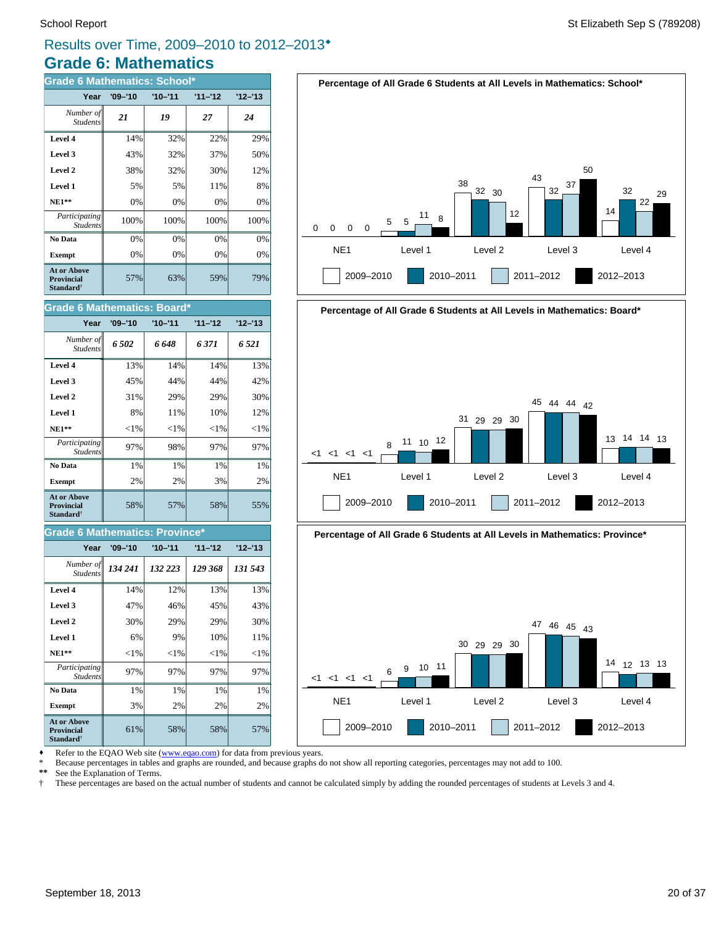# **Grade 6: Mathematics** Results over Time, 2009–2010 to 2012–2013<sup>\*</sup>

| <b>Grade 6 Mathematics: School*</b>                              |             |             |           |           |  |
|------------------------------------------------------------------|-------------|-------------|-----------|-----------|--|
| Year                                                             | $'09 - '10$ | $'10 - '11$ | $11 - 12$ | $12 - 13$ |  |
| Number of<br><b>Students</b>                                     | 21          | 19          | 27        | 24        |  |
| Level 4                                                          | 14%         | 32%         | 22%       | 29%       |  |
| Level 3                                                          | 43%         | 32%         | 37%       | 50%       |  |
| Level 2                                                          | 38%         | 32%         | 30%       | 12%       |  |
| Level 1                                                          | 5%          | 5%          | 11%       | 8%        |  |
| <b>NE1**</b>                                                     | 0%          | 0%          | 0%        | 0%        |  |
| Participating<br><b>Students</b>                                 | 100%        | 100%        | 100%      | 100%      |  |
| No Data                                                          | 0%          | 0%          | 0%        | 0%        |  |
| <b>Exempt</b>                                                    | 0%          | 0%          | 0%        | 0%        |  |
| At or Above<br><b>Provincial</b><br><b>Standard</b> <sup>†</sup> | 57%         | 63%         | 59%       | 79%       |  |

| Grade 6 Mathematics: Board*                                             |             |             |           |           |  |
|-------------------------------------------------------------------------|-------------|-------------|-----------|-----------|--|
| Year                                                                    | $'09 - '10$ | $'10 - '11$ | $11 - 12$ | $12 - 13$ |  |
| Number of<br><b>Students</b>                                            | 6.502       | 6 648       | 6 371     | 6 521     |  |
| Level 4                                                                 | 13%         | 14%         | 14%       | 13%       |  |
| Level 3                                                                 | 45%         | 44%         | 44%       | 42%       |  |
| Level 2                                                                 | 31%         | 29%         | 29%       | 30%       |  |
| Level 1                                                                 | 8%          | 11%         | 10%       | 12%       |  |
| <b>NE1**</b>                                                            | ${<}1\%$    | ${<}1\%$    | ${<}1\%$  | ${<}1\%$  |  |
| Participating<br><b>Students</b>                                        | 97%         | 98%         | 97%       | 97%       |  |
| No Data                                                                 | 1%          | 1%          | 1%        | 1%        |  |
| <b>Exempt</b>                                                           | 2%          | 2%          | 3%        | 2%        |  |
| <b>At or Above</b><br><b>Provincial</b><br><b>Standard</b> <sup>†</sup> | 58%         | 57%         | 58%       | 55%       |  |

### **Grade 6 Mathematics: Province\***

| Year                                                             | $'09 - '10$ | $'10 - '11$ | $11 - 12$ | $'12 - 13$ |
|------------------------------------------------------------------|-------------|-------------|-----------|------------|
| Number of<br><b>Students</b>                                     | 134 241     | 132 223     | 129 368   | 131 543    |
| Level 4                                                          | 14%         | 12%         | 13%       | 13%        |
| Level 3                                                          | 47%         | 46%         | 45%       | 43%        |
| Level 2                                                          | 30%         | 29%         | 29%       | 30%        |
| Level 1                                                          | 6%          | 9%          | 10%       | 11%        |
| $NE1**$                                                          | $<$ 1%      | ${<}1\%$    | $<$ 1%    | $<$ 1%     |
| <i>Participating</i><br><b>Students</b>                          | 97%         | 97%         | 97%       | 97%        |
| No Data                                                          | 1%          | 1%          | 1%        | 1%         |
| <b>Exempt</b>                                                    | 3%          | 2%          | 2%        | 2%         |
| At or Above<br><b>Provincial</b><br><b>Standard</b> <sup>†</sup> | 61%         | 58%         | 58%       | 57%        |

![](_page_19_Figure_7.jpeg)

![](_page_19_Figure_8.jpeg)

**Percentage of All Grade 6 Students at All Levels in Mathematics: Province\***

![](_page_19_Figure_10.jpeg)

Refer to the EQAO Web site (www.eqao.com) for data from previous years.

\* Because percentages in tables and graphs are rounded, and because graphs do not show all reporting categories, percentages may not add to 100.

**\*\*** See the Explanation of Terms.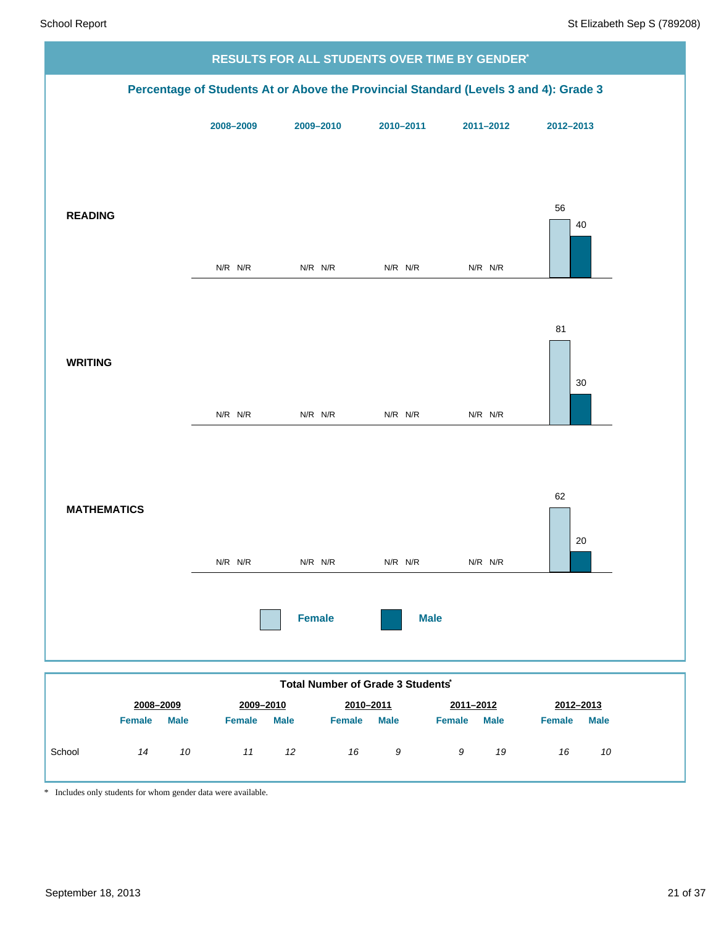![](_page_20_Figure_2.jpeg)

\* Includes only students for whom gender data were available.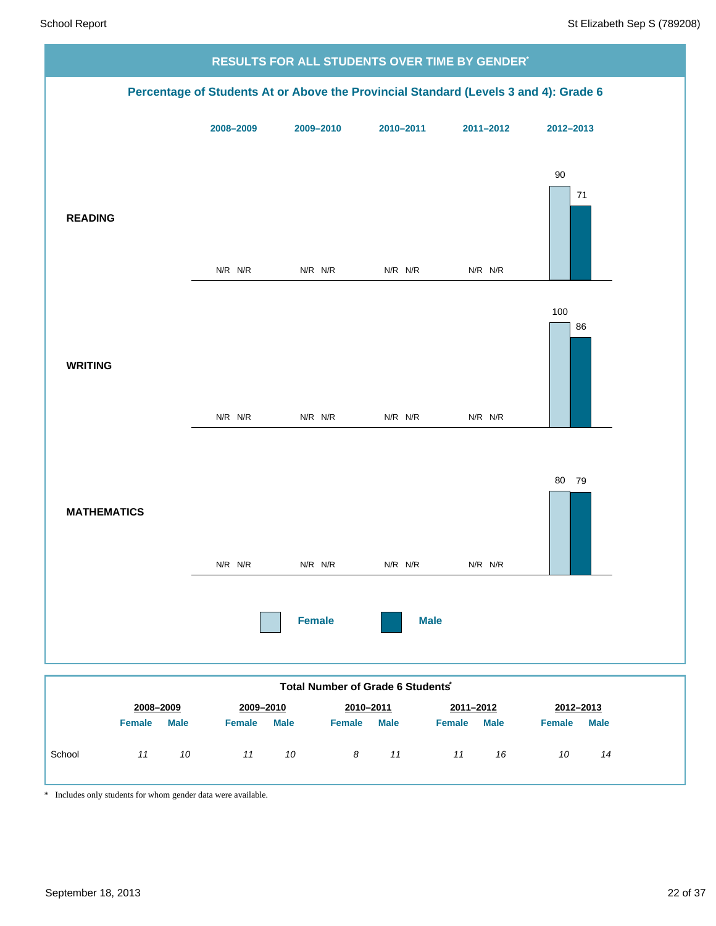![](_page_21_Figure_2.jpeg)

|        |               |             |               |             | TULAI NUTTIVEL UL OTAUG U JUUGITUS |             |               |             |               |             |
|--------|---------------|-------------|---------------|-------------|------------------------------------|-------------|---------------|-------------|---------------|-------------|
|        | 2008-2009     |             | 2009-2010     |             | 2010-2011                          |             | 2011-2012     |             | 2012-2013     |             |
|        | <b>Female</b> | <b>Male</b> | <b>Female</b> | <b>Male</b> | <b>Female</b>                      | <b>Male</b> | <b>Female</b> | <b>Male</b> | <b>Female</b> | <b>Male</b> |
| School | 11            | 10          | 11            | 10          | 8                                  | 11          | 11            | 16          | 10            | 14          |

\* Includes only students for whom gender data were available.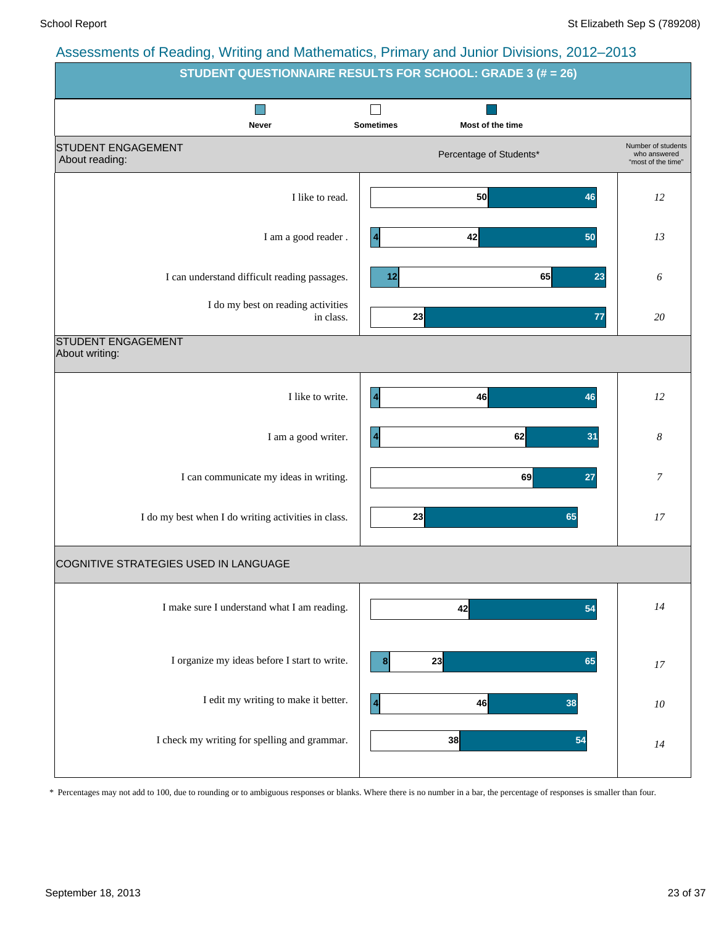| recocomonto or reading; rriting and mathematics; r innary and cannot binolone; Lond Lord | <b>STUDENT QUESTIONNAIRE RESULTS FOR SCHOOL: GRADE 3 (# = 26)</b> |                                                          |  |  |  |  |  |  |  |
|------------------------------------------------------------------------------------------|-------------------------------------------------------------------|----------------------------------------------------------|--|--|--|--|--|--|--|
| <b>Never</b>                                                                             | <b>Sometimes</b><br>Most of the time                              |                                                          |  |  |  |  |  |  |  |
| <b>STUDENT ENGAGEMENT</b><br>About reading:                                              | Percentage of Students*                                           | Number of students<br>who answered<br>"most of the time" |  |  |  |  |  |  |  |
| I like to read.                                                                          | 50<br>46                                                          | 12                                                       |  |  |  |  |  |  |  |
| I am a good reader.                                                                      | 42<br>50                                                          | 13                                                       |  |  |  |  |  |  |  |
| I can understand difficult reading passages.                                             | 65<br>12<br>23                                                    | 6                                                        |  |  |  |  |  |  |  |
| I do my best on reading activities<br>in class.                                          | 23<br>77                                                          | 20                                                       |  |  |  |  |  |  |  |
| <b>STUDENT ENGAGEMENT</b><br>About writing:                                              |                                                                   |                                                          |  |  |  |  |  |  |  |
| I like to write.                                                                         | 46<br>$\overline{\mathbf{4}}$<br>46                               | 12                                                       |  |  |  |  |  |  |  |
| I am a good writer.                                                                      | 62<br>31<br>$\vert 4$                                             | 8                                                        |  |  |  |  |  |  |  |
| I can communicate my ideas in writing.                                                   | 69<br>27                                                          | 7                                                        |  |  |  |  |  |  |  |
| I do my best when I do writing activities in class.                                      | 23<br>65                                                          | 17                                                       |  |  |  |  |  |  |  |
| COGNITIVE STRATEGIES USED IN LANGUAGE                                                    |                                                                   |                                                          |  |  |  |  |  |  |  |
| I make sure I understand what I am reading.                                              | 42<br>54                                                          | 14                                                       |  |  |  |  |  |  |  |
| I organize my ideas before I start to write.                                             | 23<br>65                                                          | $17$                                                     |  |  |  |  |  |  |  |
| I edit my writing to make it better.                                                     | 46<br>38<br>$\vert$ 4                                             | ${\it 10}$                                               |  |  |  |  |  |  |  |
| I check my writing for spelling and grammar.                                             | 38<br>54                                                          | 14                                                       |  |  |  |  |  |  |  |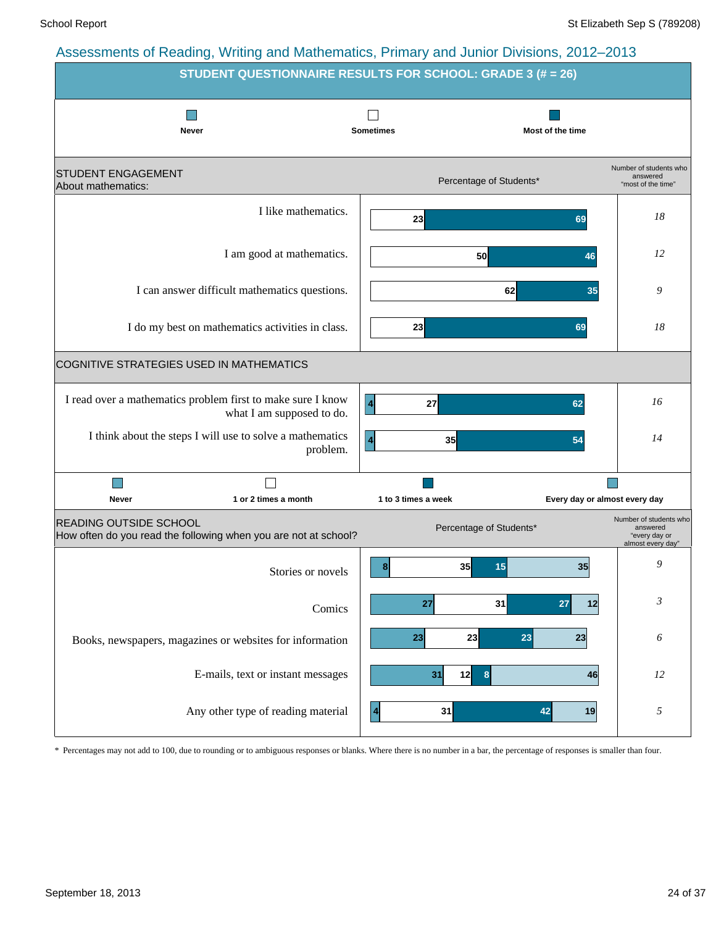![](_page_23_Figure_3.jpeg)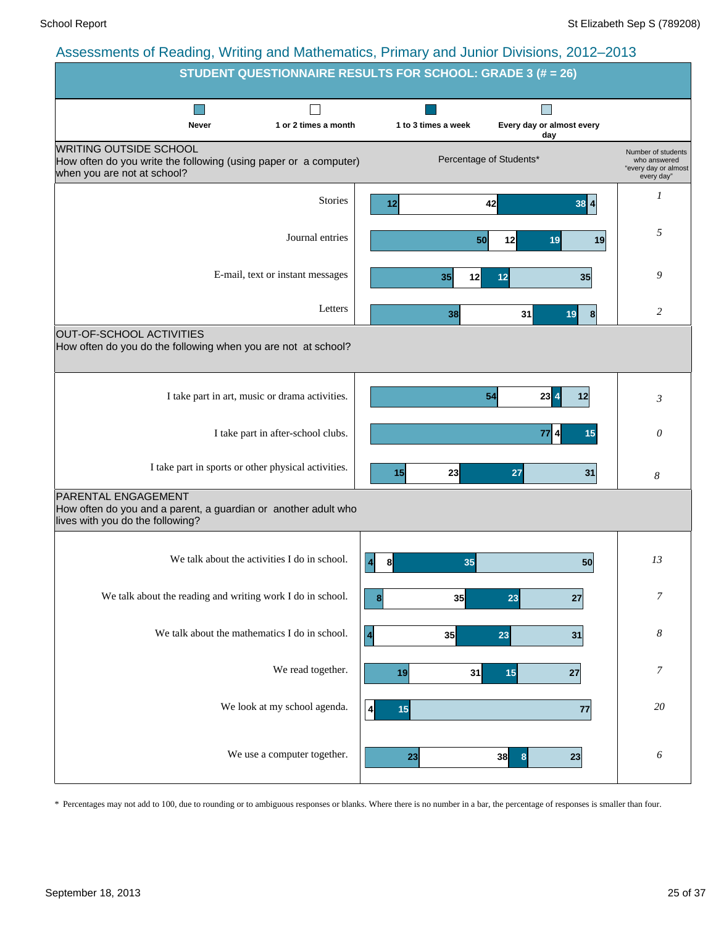|                                                                                                                                  | STUDENT QUESTIONNAIRE RESULTS FOR SCHOOL: GRADE 3 (# = 26)                                          |
|----------------------------------------------------------------------------------------------------------------------------------|-----------------------------------------------------------------------------------------------------|
| 1 or 2 times a month<br><b>Never</b>                                                                                             | 1 to 3 times a week<br>Every day or almost every<br>day                                             |
| <b>WRITING OUTSIDE SCHOOL</b><br>How often do you write the following (using paper or a computer)<br>when you are not at school? | Number of students<br>Percentage of Students*<br>who answered<br>"every day or almost<br>every day" |
| <b>Stories</b>                                                                                                                   | 1<br>42<br>$38$ $4$<br>12                                                                           |
| Journal entries                                                                                                                  | 5<br>50<br>12<br>19<br>19                                                                           |
| E-mail, text or instant messages                                                                                                 | 9<br>35<br>12<br>12<br>35                                                                           |
| Letters                                                                                                                          | 2<br>31<br>38<br>19<br> 8                                                                           |
| OUT-OF-SCHOOL ACTIVITIES<br>How often do you do the following when you are not at school?                                        |                                                                                                     |
| I take part in art, music or drama activities.                                                                                   | 54<br>$23 \mid 4$<br>12<br>3                                                                        |
| I take part in after-school clubs.                                                                                               | $\theta$<br>77<br>$\boldsymbol{4}$<br>15                                                            |
| I take part in sports or other physical activities.                                                                              | 23<br>15<br>27<br>31<br>8                                                                           |
| PARENTAL ENGAGEMENT<br>How often do you and a parent, a guardian or another adult who<br>lives with you do the following?        |                                                                                                     |
| We talk about the activities I do in school.                                                                                     | 13<br>35<br>$\vert$<br>8<br>50                                                                      |
| We talk about the reading and writing work I do in school.                                                                       | $\overline{7}$<br>35<br>23<br>27<br> 8                                                              |
| We talk about the mathematics I do in school.                                                                                    | $\boldsymbol{8}$<br>$\overline{\mathbf{4}}$<br>35<br>23<br>31                                       |
| We read together.                                                                                                                | 7<br>31<br>15<br>19<br>27                                                                           |
| We look at my school agenda.                                                                                                     | 20<br>15<br>77<br>$\frac{4}{ }$                                                                     |
| We use a computer together.                                                                                                      | 6<br>38<br>23<br>23<br>8                                                                            |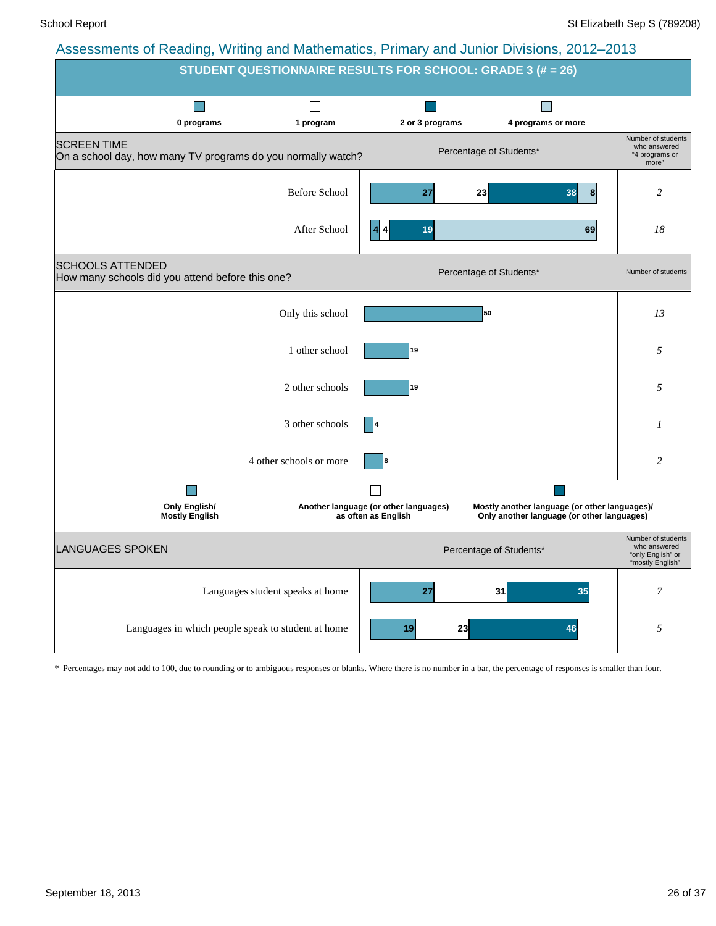![](_page_25_Figure_3.jpeg)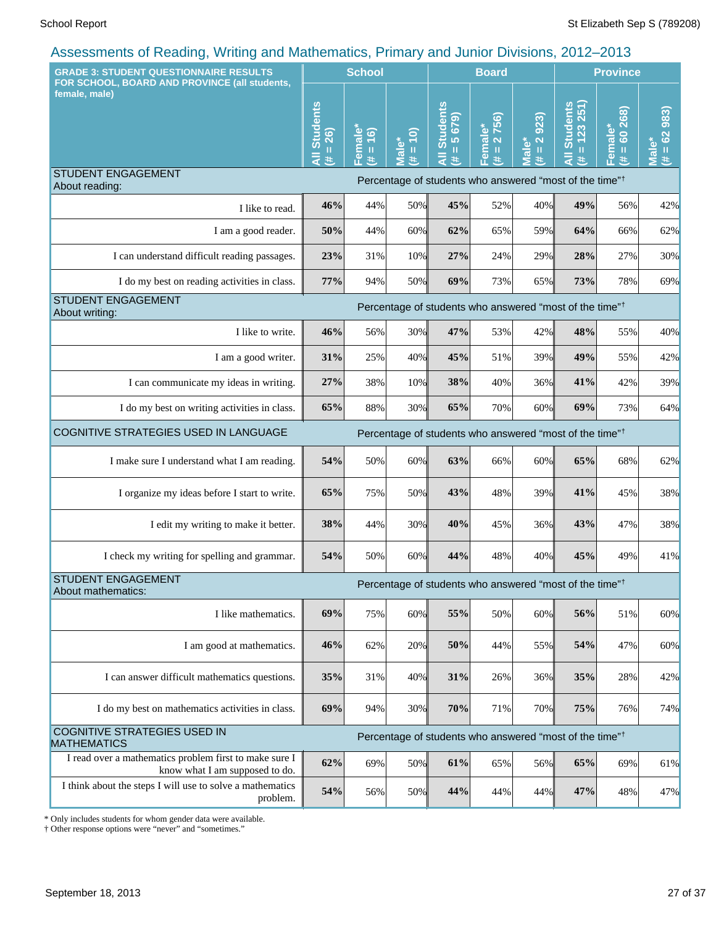| <b>GRADE 3: STUDENT QUESTIONNAIRE RESULTS</b><br>FOR SCHOOL, BOARD AND PROVINCE (all students,                     |                                                                     | <b>School</b>                             |                             | <b>Board</b>                                  |                                                 |                          | <b>Province</b>                                                     |                                           |                                          |
|--------------------------------------------------------------------------------------------------------------------|---------------------------------------------------------------------|-------------------------------------------|-----------------------------|-----------------------------------------------|-------------------------------------------------|--------------------------|---------------------------------------------------------------------|-------------------------------------------|------------------------------------------|
| female, male)                                                                                                      | <b>Students</b><br>$= 26$<br>#                                      | Female*<br>$\overline{16}$<br>$\,$ H<br>违 | $= 10$<br><b>Male*</b><br># | <b>Students</b><br>$= 5679$<br>$\bar{a}$<br>违 | 2756)<br>Female*<br>$\mathbf{I}\mathbf{I}$<br>巷 | $= 2.923$<br>Male*<br>¥, | $= 123251$<br><b>Students</b><br>#                                  | 268)<br>Female*<br>8<br>$\mathbf{u}$<br>违 | 983)<br>$= 62$<br>Male <sup>®</sup><br>进 |
| <b>STUDENT ENGAGEMENT</b><br>About reading:                                                                        |                                                                     |                                           |                             |                                               |                                                 |                          | Percentage of students who answered "most of the time" <sup>†</sup> |                                           |                                          |
| I like to read.                                                                                                    | 46%                                                                 | 44%                                       | 50%                         | 45%                                           | 52%                                             | 40%                      | 49%                                                                 | 56%                                       | 42%                                      |
| I am a good reader.                                                                                                | 50%                                                                 | 44%                                       | 60%                         | 62%                                           | 65%                                             | 59%                      | 64%                                                                 | 66%                                       | 62%                                      |
| I can understand difficult reading passages.                                                                       | 23%                                                                 | 31%                                       | 10%                         | 27%                                           | 24%                                             | 29%                      | 28%                                                                 | 27%                                       | 30%                                      |
| I do my best on reading activities in class.                                                                       | 77%                                                                 | 94%                                       | 50%                         | 69%                                           | 73%                                             | 65%                      | 73%                                                                 | 78%                                       | 69%                                      |
| <b>STUDENT ENGAGEMENT</b><br>Percentage of students who answered "most of the time" <sup>†</sup><br>About writing: |                                                                     |                                           |                             |                                               |                                                 |                          |                                                                     |                                           |                                          |
| I like to write.                                                                                                   | 46%                                                                 | 56%                                       | 30%                         | 47%                                           | 53%                                             | 42%                      | 48%                                                                 | 55%                                       | 40%                                      |
| I am a good writer.                                                                                                | 31%                                                                 | 25%                                       | 40%                         | 45%                                           | 51%                                             | 39%                      | 49%                                                                 | 55%                                       | 42%                                      |
| I can communicate my ideas in writing.                                                                             | 27%                                                                 | 38%                                       | 10%                         | 38%                                           | 40%                                             | 36%                      | 41%                                                                 | 42%                                       | 39%                                      |
| I do my best on writing activities in class.                                                                       | 65%                                                                 | 88%                                       | 30%                         | 65%                                           | 70%                                             | 60%                      | 69%                                                                 | 73%                                       | 64%                                      |
| COGNITIVE STRATEGIES USED IN LANGUAGE                                                                              | Percentage of students who answered "most of the time" <sup>†</sup> |                                           |                             |                                               |                                                 |                          |                                                                     |                                           |                                          |
| I make sure I understand what I am reading.                                                                        | 54%                                                                 | 50%                                       | 60%                         | 63%                                           | 66%                                             | 60%                      | 65%                                                                 | 68%                                       | 62%                                      |
| I organize my ideas before I start to write.                                                                       | 65%                                                                 | 75%                                       | 50%                         | 43%                                           | 48%                                             | 39%                      | 41%                                                                 | 45%                                       | 38%                                      |
| I edit my writing to make it better.                                                                               | 38%                                                                 | 44%                                       | 30%                         | 40%                                           | 45%                                             | 36%                      | 43%                                                                 | 47%                                       | 38%                                      |
| I check my writing for spelling and grammar.                                                                       | 54%                                                                 | 50%                                       | 60%                         | 44%                                           | 48%                                             | 40%                      | 45%                                                                 | 49%                                       | 41%                                      |
| <b>STUDENT ENGAGEMENT</b><br>About mathematics:                                                                    |                                                                     |                                           |                             |                                               |                                                 |                          | Percentage of students who answered "most of the time" <sup>†</sup> |                                           |                                          |
| I like mathematics.                                                                                                | 69%                                                                 | 75%                                       | 60%                         | 55%                                           | 50%                                             | 60%                      | 56%                                                                 | 51%                                       | 60%                                      |
| I am good at mathematics.                                                                                          | 46%                                                                 | 62%                                       | 20%                         | 50%                                           | 44%                                             | 55%                      | 54%                                                                 | 47%                                       | 60%                                      |
| I can answer difficult mathematics questions.                                                                      | 35%                                                                 | 31%                                       | 40%                         | 31%                                           | 26%                                             | 36%                      | 35%                                                                 | 28%                                       | 42%                                      |
| I do my best on mathematics activities in class.                                                                   | 69%                                                                 | 94%                                       | 30%                         | 70%                                           | 71%                                             | 70%                      | 75%                                                                 | 76%                                       | 74%                                      |
| <b>COGNITIVE STRATEGIES USED IN</b><br><b>MATHEMATICS</b>                                                          |                                                                     |                                           |                             |                                               |                                                 |                          | Percentage of students who answered "most of the time" <sup>†</sup> |                                           |                                          |
| I read over a mathematics problem first to make sure I<br>know what I am supposed to do.                           | 62%                                                                 | 69%                                       | 50%                         | 61%                                           | 65%                                             | 56%                      | 65%                                                                 | 69%                                       | 61%                                      |
| I think about the steps I will use to solve a mathematics<br>problem.                                              | 54%                                                                 | 56%                                       | 50%                         | 44%                                           | 44%                                             | 44%                      | 47%                                                                 | 48%                                       | 47%                                      |

\* Only includes students for whom gender data were available.

† Other response options were "never" and "sometimes."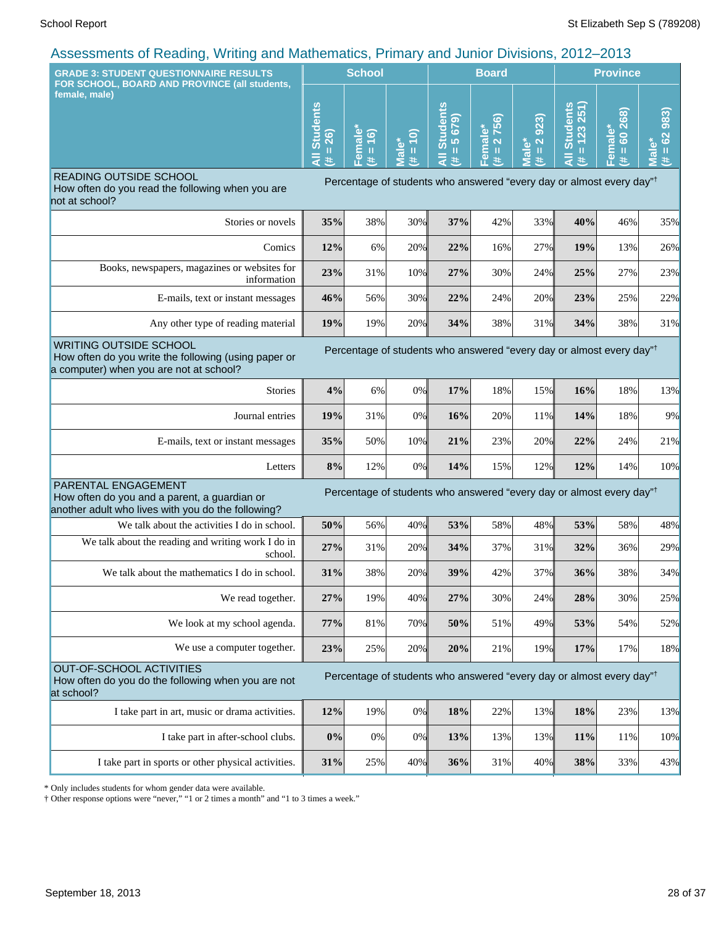| 1.1.1.1.1.1.9<br><b>GRADE 3: STUDENT QUESTIONNAIRE RESULTS</b>                                                                                                                                                       | <b>School</b>               |                                     |                                               |                                           | <b>Board</b>                                                                |                                             | <b>Province</b>                                                                                                                                                                                                     |                                                                                  |                                      |
|----------------------------------------------------------------------------------------------------------------------------------------------------------------------------------------------------------------------|-----------------------------|-------------------------------------|-----------------------------------------------|-------------------------------------------|-----------------------------------------------------------------------------|---------------------------------------------|---------------------------------------------------------------------------------------------------------------------------------------------------------------------------------------------------------------------|----------------------------------------------------------------------------------|--------------------------------------|
| FOR SCHOOL, BOARD AND PROVINCE (all students,<br>female, male)                                                                                                                                                       | <b>Students</b><br>26)<br>Ш | $\bullet$<br>(91)<br>emal<br>Ш<br>共 | ට<br>$\omega$<br>Ш<br>$\overline{\mathbf{c}}$ | <b>Students</b><br>(675)<br>lo.<br>Ш<br>共 | 756<br>$\overset{*}{\bullet}$<br>Femal<br>$\overline{\mathbf{N}}$<br>Ш<br>违 | 923)<br>$\overline{2}$<br><b>Male*</b><br>进 | <b>Students</b><br>$\frac{123251}{251}$<br>$\mathbf{H}% =\mathbf{H}^{T}\mathbf{v}^{T}\mathbf{v}^{T}\mathbf{v}^{T}+\mathbf{H}^{T}\mathbf{v}^{T}\mathbf{v}^{T}+\mathbf{H}^{T}\mathbf{v}^{T}\mathbf{v}^{T}$<br>ਵੰ<br>违 | 60268)<br>Female*<br>$\mathbf H$<br>违                                            | 983<br>$= 62$<br>řφ<br><u>π</u><br>违 |
| <b>READING OUTSIDE SCHOOL</b><br>How often do you read the following when you are<br>not at school?                                                                                                                  | ⋖                           | Œ.                                  |                                               |                                           |                                                                             |                                             |                                                                                                                                                                                                                     | Percentage of students who answered "every day or almost every day" <sup>†</sup> |                                      |
| Stories or novels                                                                                                                                                                                                    | 35%                         | 38%                                 | 30%                                           | 37%                                       | 42%                                                                         | 33%                                         | 40%                                                                                                                                                                                                                 | 46%                                                                              | 35%                                  |
| Comics                                                                                                                                                                                                               | 12%                         | 6%                                  | 20%                                           | 22%                                       | 16%                                                                         | 27%                                         | 19%                                                                                                                                                                                                                 | 13%                                                                              | 26%                                  |
| Books, newspapers, magazines or websites for<br>information                                                                                                                                                          | 23%                         | 31%                                 | 10%                                           | 27%                                       | 30%                                                                         | 24%                                         | 25%                                                                                                                                                                                                                 | 27%                                                                              | 23%                                  |
| E-mails, text or instant messages                                                                                                                                                                                    | 46%                         | 56%                                 | 30%                                           | 22%                                       | 24%                                                                         | 20%                                         | 23%                                                                                                                                                                                                                 | 25%                                                                              | 22%                                  |
| Any other type of reading material                                                                                                                                                                                   | 19%                         | 19%                                 | 20%                                           | 34%                                       | 38%                                                                         | 31%                                         | 34%                                                                                                                                                                                                                 | 38%                                                                              | 31%                                  |
| <b>WRITING OUTSIDE SCHOOL</b><br>Percentage of students who answered "every day or almost every day" <sup>†</sup><br>How often do you write the following (using paper or<br>a computer) when you are not at school? |                             |                                     |                                               |                                           |                                                                             |                                             |                                                                                                                                                                                                                     |                                                                                  |                                      |
| <b>Stories</b>                                                                                                                                                                                                       | 4%                          | 6%                                  | 0%                                            | 17%                                       | 18%                                                                         | 15%                                         | 16%                                                                                                                                                                                                                 | 18%                                                                              | 13%                                  |
| Journal entries                                                                                                                                                                                                      | 19%                         | 31%                                 | $0\%$                                         | 16%                                       | 20%                                                                         | 11%                                         | 14%                                                                                                                                                                                                                 | 18%                                                                              | 9%                                   |
| E-mails, text or instant messages                                                                                                                                                                                    | 35%                         | 50%                                 | 10%                                           | 21%                                       | 23%                                                                         | 20%                                         | 22%                                                                                                                                                                                                                 | 24%                                                                              | 21%                                  |
| Letters                                                                                                                                                                                                              | 8%                          | 12%                                 | $0\%$                                         | 14%                                       | 15%                                                                         | 12%                                         | 12%                                                                                                                                                                                                                 | 14%                                                                              | 10%                                  |
| PARENTAL ENGAGEMENT<br>How often do you and a parent, a guardian or<br>another adult who lives with you do the following?                                                                                            |                             |                                     |                                               |                                           |                                                                             |                                             |                                                                                                                                                                                                                     | Percentage of students who answered "every day or almost every day" <sup>†</sup> |                                      |
| We talk about the activities I do in school.                                                                                                                                                                         | 50%                         | 56%                                 | 40%                                           | 53%                                       | 58%                                                                         | 48%                                         | 53%                                                                                                                                                                                                                 | 58%                                                                              | 48%                                  |
| We talk about the reading and writing work I do in<br>school.                                                                                                                                                        | 27%                         | 31%                                 | 20%                                           | 34%                                       | 37%                                                                         | 31%                                         | 32%                                                                                                                                                                                                                 | 36%                                                                              | 29%                                  |
| We talk about the mathematics I do in school.                                                                                                                                                                        | 31%                         | 38%                                 | 20%                                           | 39%                                       | 42%                                                                         | 37%                                         | 36%                                                                                                                                                                                                                 | 38%                                                                              | 34%                                  |
| We read together.                                                                                                                                                                                                    | 27%                         | 19%                                 | 40%                                           | 27%                                       | 30%                                                                         | 24%                                         | 28%                                                                                                                                                                                                                 | 30%                                                                              | 25%                                  |
| We look at my school agenda.                                                                                                                                                                                         | 77%                         | 81%                                 | 70%                                           | 50%                                       | 51%                                                                         | 49%                                         | 53%                                                                                                                                                                                                                 | 54%                                                                              | 52%                                  |
| We use a computer together.                                                                                                                                                                                          | 23%                         | 25%                                 | 20%                                           | 20%                                       | 21%                                                                         | 19%                                         | 17%                                                                                                                                                                                                                 | 17%                                                                              | 18%                                  |
| OUT-OF-SCHOOL ACTIVITIES<br>How often do you do the following when you are not<br>at school?                                                                                                                         |                             |                                     |                                               |                                           |                                                                             |                                             |                                                                                                                                                                                                                     | Percentage of students who answered "every day or almost every day" <sup>†</sup> |                                      |
| I take part in art, music or drama activities.                                                                                                                                                                       | 12%                         | 19%                                 | 0%                                            | 18%                                       | 22%                                                                         | 13%                                         | 18%                                                                                                                                                                                                                 | 23%                                                                              | 13%                                  |
| I take part in after-school clubs.                                                                                                                                                                                   | $0\%$                       | 0%                                  | 0%                                            | 13%                                       | 13%                                                                         | 13%                                         | 11%                                                                                                                                                                                                                 | 11%                                                                              | 10%                                  |
| I take part in sports or other physical activities.                                                                                                                                                                  | 31%                         | 25%                                 | 40%                                           | 36%                                       | 31%                                                                         | 40%                                         | 38%                                                                                                                                                                                                                 | 33%                                                                              | 43%                                  |

\* Only includes students for whom gender data were available.

† Other response options were "never," "1 or 2 times a month" and "1 to 3 times a week."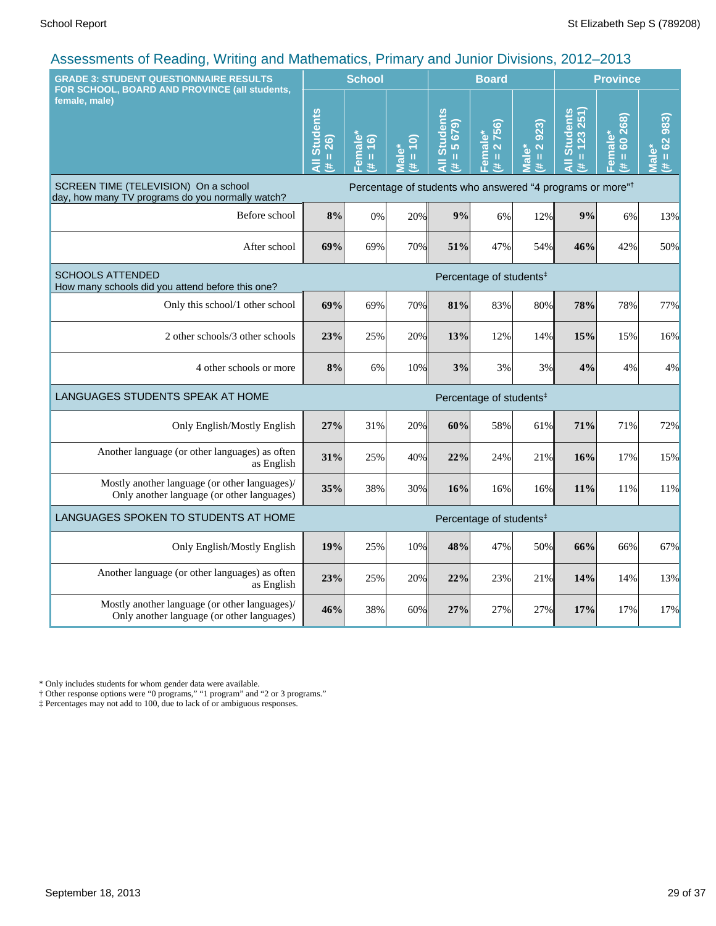| <b>GRADE 3: STUDENT QUESTIONNAIRE RESULTS</b><br>FOR SCHOOL, BOARD AND PROVINCE (all students, |                                                                       | <b>School</b>                                          |                      |                                      | <b>Board</b>                               |                          | <b>Province</b>                        |                                    |                        |
|------------------------------------------------------------------------------------------------|-----------------------------------------------------------------------|--------------------------------------------------------|----------------------|--------------------------------------|--------------------------------------------|--------------------------|----------------------------------------|------------------------------------|------------------------|
| female, male)                                                                                  | <b>All Students</b><br>$# = 26$                                       | Female*<br>(91)<br>$\mathbf{u}$<br>$\ddot{\mathbf{z}}$ | $(\# = 10)$<br>Male* | <b>All Students</b><br>$= 5679$<br>进 | 2756)<br>Female*<br>$\,$ H<br>$\mathbf{H}$ | 923)<br>$# = 2$<br>Male* | <b>All Students</b><br>$= 123251$<br>共 | $= 60268$<br>Female*<br>(# = 60 26 | $(4 = 62983)$<br>Male* |
| SCREEN TIME (TELEVISION) On a school<br>day, how many TV programs do you normally watch?       | Percentage of students who answered "4 programs or more" <sup>†</sup> |                                                        |                      |                                      |                                            |                          |                                        |                                    |                        |
| Before school                                                                                  | 8%                                                                    | 0%                                                     | 20%                  | 9%                                   | 6%                                         | 12%                      | 9%                                     | 6%                                 | 13%                    |
| After school                                                                                   | 69%                                                                   | 69%                                                    | 70%                  | 51%                                  | 47%                                        | 54%                      | 46%                                    | 42%                                | 50%                    |
| <b>SCHOOLS ATTENDED</b><br>How many schools did you attend before this one?                    | Percentage of students <sup>‡</sup>                                   |                                                        |                      |                                      |                                            |                          |                                        |                                    |                        |
| Only this school/1 other school                                                                | 69%                                                                   | 69%                                                    | 70%                  | 81%                                  | 83%                                        | 80%                      | 78%                                    | 78%                                | 77%                    |
| 2 other schools/3 other schools                                                                | 23%                                                                   | 25%                                                    | 20%                  | 13%                                  | 12%                                        | 14%                      | 15%                                    | 15%                                | 16%                    |
| 4 other schools or more                                                                        | 8%                                                                    | 6%                                                     | 10%                  | 3%                                   | 3%                                         | 3%                       | 4%                                     | 4%                                 | 4%                     |
| LANGUAGES STUDENTS SPEAK AT HOME                                                               |                                                                       |                                                        |                      |                                      | Percentage of students <sup>#</sup>        |                          |                                        |                                    |                        |
| Only English/Mostly English                                                                    | 27%                                                                   | 31%                                                    | 20%                  | 60%                                  | 58%                                        | 61%                      | 71%                                    | 71%                                | 72%                    |
| Another language (or other languages) as often<br>as English                                   | 31%                                                                   | 25%                                                    | 40%                  | 22%                                  | 24%                                        | 21%                      | 16%                                    | 17%                                | 15%                    |
| Mostly another language (or other languages)/<br>Only another language (or other languages)    | 35%                                                                   | 38%                                                    | 30%                  | 16%                                  | 16%                                        | 16%                      | 11%                                    | 11%                                | 11%                    |
| LANGUAGES SPOKEN TO STUDENTS AT HOME                                                           |                                                                       |                                                        |                      |                                      | Percentage of students <sup>#</sup>        |                          |                                        |                                    |                        |
| Only English/Mostly English                                                                    | 19%                                                                   | 25%                                                    | 10%                  | 48%                                  | 47%                                        | 50%                      | 66%                                    | 66%                                | 67%                    |
| Another language (or other languages) as often<br>as English                                   | 23%                                                                   | 25%                                                    | 20%                  | 22%                                  | 23%                                        | 21%                      | 14%                                    | 14%                                | 13%                    |
| Mostly another language (or other languages)/<br>Only another language (or other languages)    | 46%                                                                   | 38%                                                    | 60%                  | 27%                                  | 27%                                        | 27%                      | 17%                                    | 17%                                | 17%                    |

\* Only includes students for whom gender data were available.

† Other response options were "0 programs," "1 program" and "2 or 3 programs."

‡ Percentages may not add to 100, due to lack of or ambiguous responses.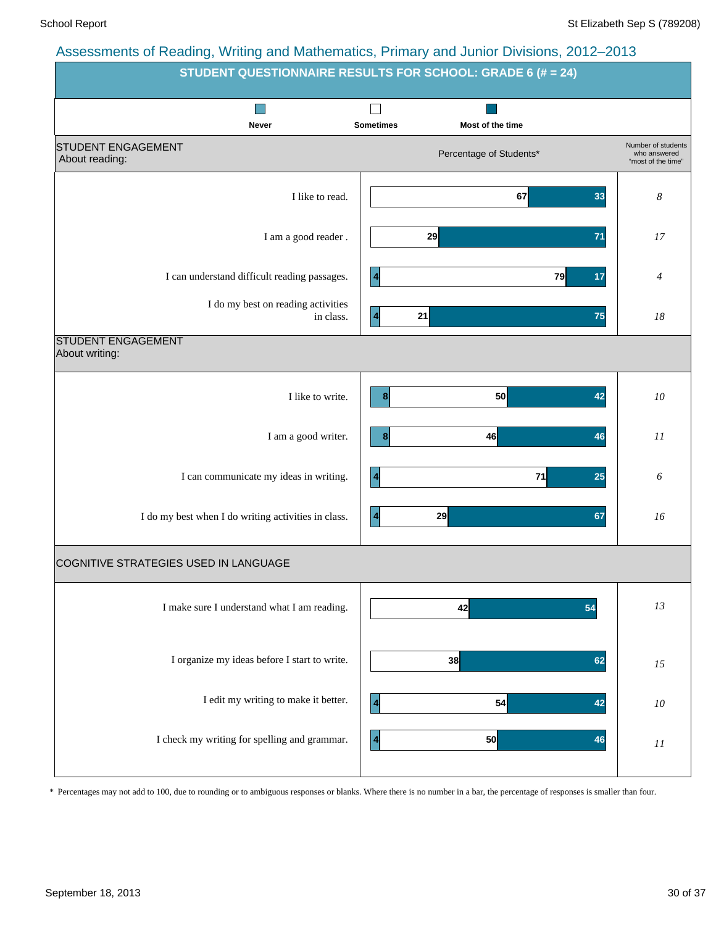| recocomone of redding, rriting and mathematics, rumary and cannot Britishio, Long Ecro | STUDENT QUESTIONNAIRE RESULTS FOR SCHOOL: GRADE 6 (# = 24) |                                                          |  |  |  |  |  |  |  |  |
|----------------------------------------------------------------------------------------|------------------------------------------------------------|----------------------------------------------------------|--|--|--|--|--|--|--|--|
| Never                                                                                  | <b>Sometimes</b><br>Most of the time                       |                                                          |  |  |  |  |  |  |  |  |
| <b>STUDENT ENGAGEMENT</b><br>About reading:                                            | Percentage of Students*                                    | Number of students<br>who answered<br>"most of the time" |  |  |  |  |  |  |  |  |
| I like to read.                                                                        | 67<br>33                                                   | $\boldsymbol{8}$                                         |  |  |  |  |  |  |  |  |
| I am a good reader.                                                                    | 29<br>71                                                   | 17                                                       |  |  |  |  |  |  |  |  |
| I can understand difficult reading passages.                                           | 79<br>$\overline{\mathbf{4}}$<br>17                        | 4                                                        |  |  |  |  |  |  |  |  |
| I do my best on reading activities<br>in class.                                        | 21<br>75<br>$\vert$ 4                                      | $18\,$                                                   |  |  |  |  |  |  |  |  |
| <b>STUDENT ENGAGEMENT</b><br>About writing:                                            |                                                            |                                                          |  |  |  |  |  |  |  |  |
| I like to write.                                                                       | 50<br>42<br>8 <sup>1</sup>                                 | ${\it 10}$                                               |  |  |  |  |  |  |  |  |
| I am a good writer.                                                                    | 46<br>8 <sup>1</sup><br>46                                 | 11                                                       |  |  |  |  |  |  |  |  |
| I can communicate my ideas in writing.                                                 | 71<br>25<br>$\blacktriangleleft$                           | 6                                                        |  |  |  |  |  |  |  |  |
| I do my best when I do writing activities in class.                                    | 29<br>67<br>$\vert$ 4                                      | 16                                                       |  |  |  |  |  |  |  |  |
| COGNITIVE STRATEGIES USED IN LANGUAGE                                                  |                                                            |                                                          |  |  |  |  |  |  |  |  |
| I make sure I understand what I am reading.                                            | 42<br>54                                                   | 13                                                       |  |  |  |  |  |  |  |  |
| I organize my ideas before I start to write.                                           | 38<br>62                                                   | 15                                                       |  |  |  |  |  |  |  |  |
| I edit my writing to make it better.                                                   | 54<br>  4<br>42                                            | ${\it 10}$                                               |  |  |  |  |  |  |  |  |
| I check my writing for spelling and grammar.                                           | $\overline{\mathbf{4}}$<br>50<br>46                        | 11                                                       |  |  |  |  |  |  |  |  |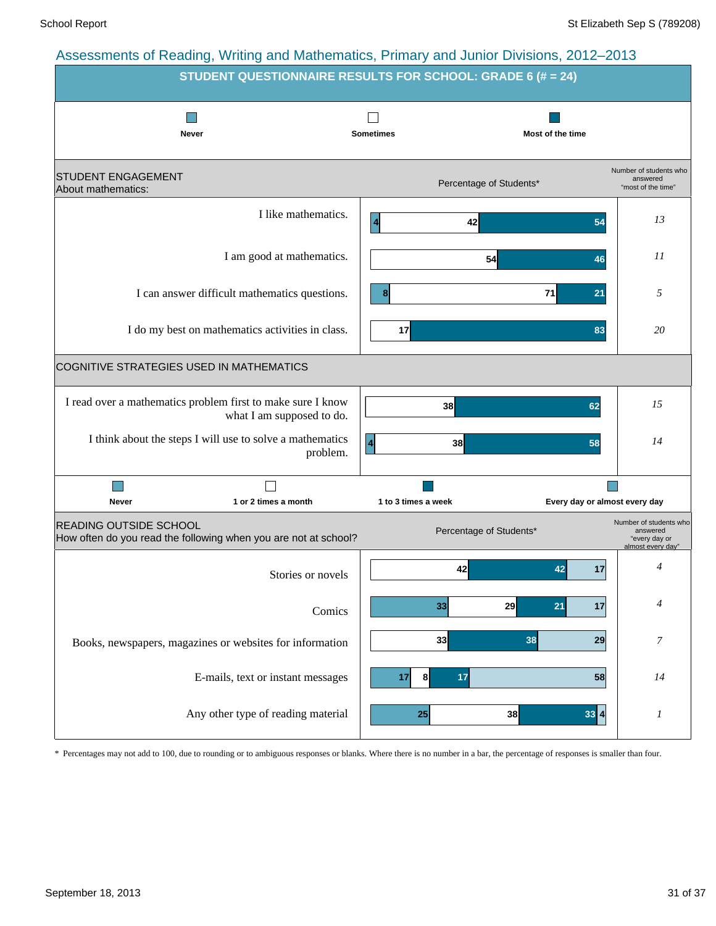![](_page_30_Figure_3.jpeg)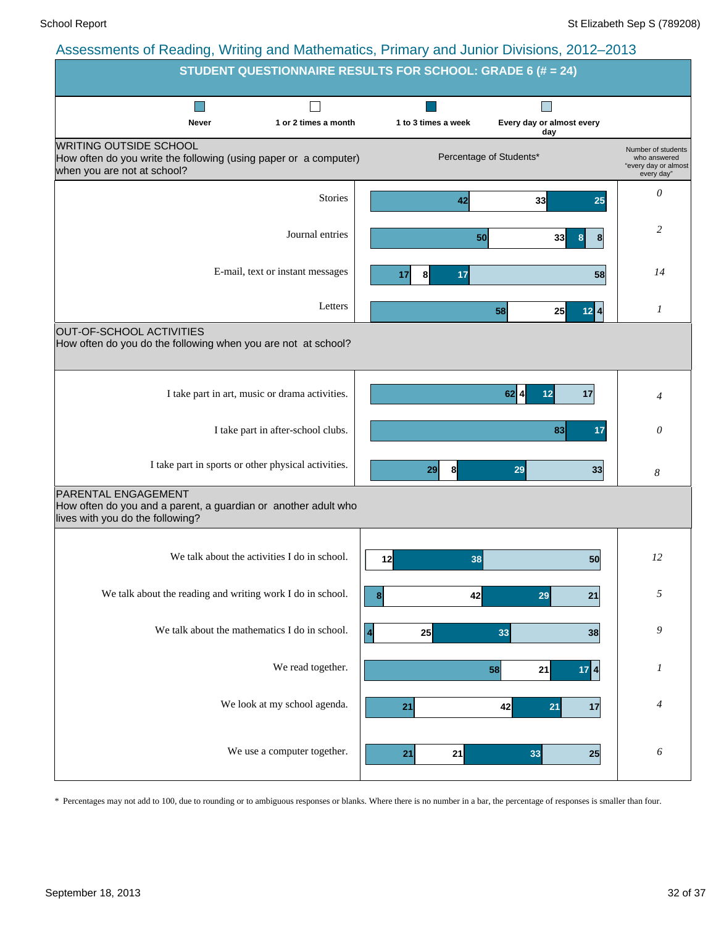|                                                                                                                                  | <b>STUDENT QUESTIONNAIRE RESULTS FOR SCHOOL: GRADE 6 (# = 24)</b>                                   |
|----------------------------------------------------------------------------------------------------------------------------------|-----------------------------------------------------------------------------------------------------|
| 1 or 2 times a month<br>Never                                                                                                    | ×<br>1 to 3 times a week<br>Every day or almost every<br>day                                        |
| <b>WRITING OUTSIDE SCHOOL</b><br>How often do you write the following (using paper or a computer)<br>when you are not at school? | Number of students<br>Percentage of Students*<br>who answered<br>"every day or almost<br>every day" |
| <b>Stories</b>                                                                                                                   | 0<br>33<br>42<br>25                                                                                 |
| Journal entries                                                                                                                  | 2<br>50<br>33<br>8<br>8                                                                             |
| E-mail, text or instant messages                                                                                                 | 14<br>17<br>17<br>8<br>58                                                                           |
| Letters                                                                                                                          | 1<br>25<br>$12$ 4<br>58                                                                             |
| OUT-OF-SCHOOL ACTIVITIES<br>How often do you do the following when you are not at school?                                        |                                                                                                     |
| I take part in art, music or drama activities.                                                                                   | $62$ 4<br>17<br>12<br>4                                                                             |
| I take part in after-school clubs.                                                                                               | 83<br>17<br>0                                                                                       |
| I take part in sports or other physical activities.                                                                              | 8<br>29<br>29<br>33<br>8                                                                            |
| <b>PARENTAL ENGAGEMENT</b><br>How often do you and a parent, a guardian or another adult who<br>lives with you do the following? |                                                                                                     |
| We talk about the activities I do in school.                                                                                     | 12<br>12<br>38<br>50                                                                                |
| We talk about the reading and writing work I do in school.                                                                       | 5<br>42<br>$\boldsymbol{8}$<br>29<br>21                                                             |
| We talk about the mathematics I do in school.                                                                                    | 9<br>25<br>$\blacktriangle$<br>33<br>38                                                             |
| We read together.                                                                                                                | 1<br>58<br>21<br>$17 \mid 4 \mid$                                                                   |
| We look at my school agenda.                                                                                                     | 4<br>42<br>21<br>21<br>17                                                                           |
| We use a computer together.                                                                                                      | 6<br>21<br>21<br>33<br>25                                                                           |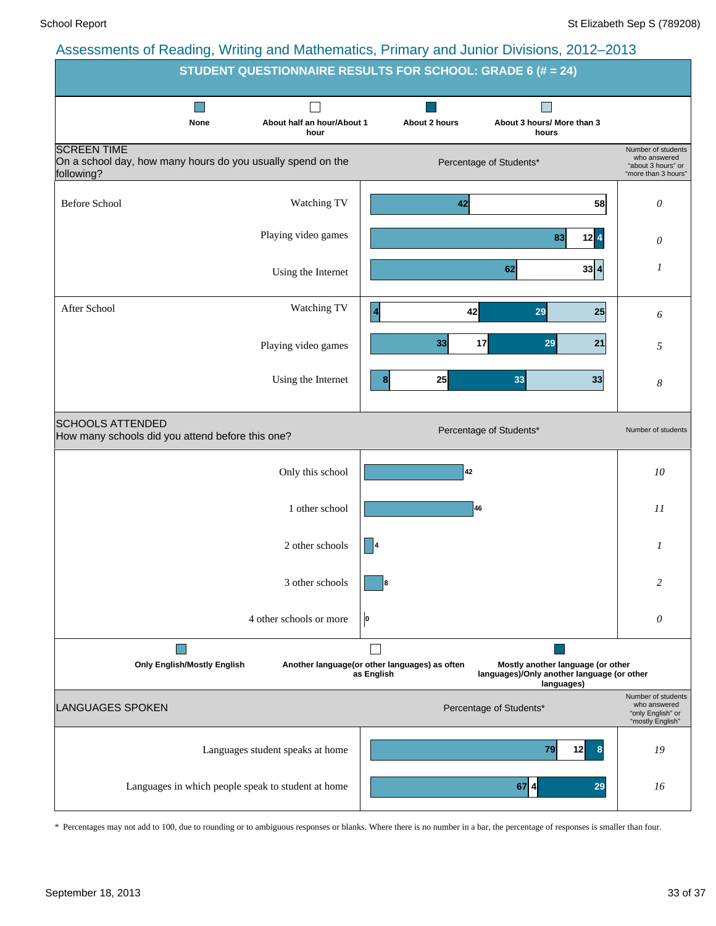![](_page_32_Figure_3.jpeg)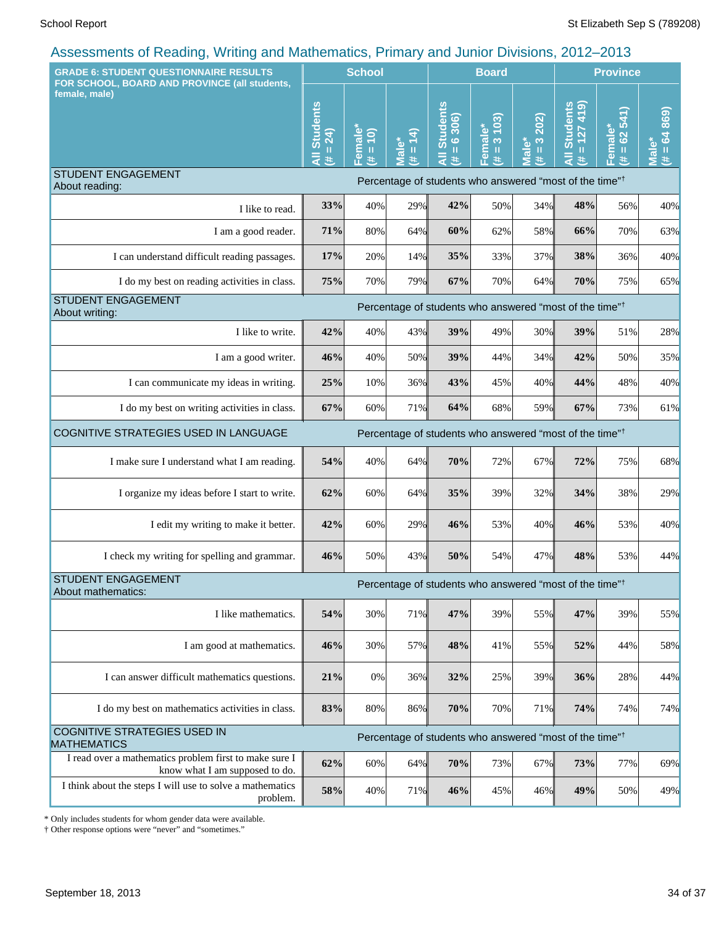| <b>GRADE 6: STUDENT QUESTIONNAIRE RESULTS</b>                                            |                                                                     | <b>School</b>                                        |                      |                                                               | <b>Board</b>                                    |                                     | <b>Province</b>                                                     |                                                 |                             |
|------------------------------------------------------------------------------------------|---------------------------------------------------------------------|------------------------------------------------------|----------------------|---------------------------------------------------------------|-------------------------------------------------|-------------------------------------|---------------------------------------------------------------------|-------------------------------------------------|-----------------------------|
| FOR SCHOOL, BOARD AND PROVINCE (all students,<br>female, male)                           | <b>Students</b><br>$= 24$<br>#                                      | <b>emale</b><br>$\overline{10}$<br>$\mathbf{u}$<br>共 | $= 14$<br>Male*<br>Ħ | <b>Students</b><br>$= 6306$<br>$\bar{\bar{\mathbf{z}}}$<br>y. | 103<br>Female*<br>$\infty$<br>$\mathbf{u}$<br>医 | 202)<br>$\frac{3}{2}$<br>Male*<br>Ħ | <b>Students</b><br>$= 127419$<br>#.                                 | 541<br>Female*<br>62<br>$\mathbf{\bar{u}}$<br>巷 | 869)<br>$= 64$<br>Male<br>进 |
| <b>STUDENT ENGAGEMENT</b><br>About reading:                                              |                                                                     |                                                      |                      |                                                               |                                                 |                                     | Percentage of students who answered "most of the time" <sup>†</sup> |                                                 |                             |
| I like to read.                                                                          | 33%                                                                 | 40%                                                  | 29%                  | 42%                                                           | 50%                                             | 34%                                 | 48%                                                                 | 56%                                             | 40%                         |
| I am a good reader.                                                                      | 71%                                                                 | 80%                                                  | 64%                  | 60%                                                           | 62%                                             | 58%                                 | 66%                                                                 | 70%                                             | 63%                         |
| I can understand difficult reading passages.                                             | 17%                                                                 | 20%                                                  | 14%                  | 35%                                                           | 33%                                             | 37%                                 | 38%                                                                 | 36%                                             | 40%                         |
| I do my best on reading activities in class.                                             | 75%                                                                 | 70%                                                  | 79%                  | 67%                                                           | 70%                                             | 64%                                 | 70%                                                                 | 75%                                             | 65%                         |
| <b>STUDENT ENGAGEMENT</b><br>About writing:                                              | Percentage of students who answered "most of the time" <sup>†</sup> |                                                      |                      |                                                               |                                                 |                                     |                                                                     |                                                 |                             |
| I like to write.                                                                         | 42%                                                                 | 40%                                                  | 43%                  | 39%                                                           | 49%                                             | 30%                                 | 39%                                                                 | 51%                                             | 28%                         |
| I am a good writer.                                                                      | 46%                                                                 | 40%                                                  | 50%                  | 39%                                                           | 44%                                             | 34%                                 | 42%                                                                 | 50%                                             | 35%                         |
| I can communicate my ideas in writing.                                                   | 25%                                                                 | 10%                                                  | 36%                  | 43%                                                           | 45%                                             | 40%                                 | 44%                                                                 | 48%                                             | 40%                         |
| I do my best on writing activities in class.                                             | 67%                                                                 | 60%                                                  | 71%                  | 64%                                                           | 68%                                             | 59%                                 | 67%                                                                 | 73%                                             | 61%                         |
| COGNITIVE STRATEGIES USED IN LANGUAGE                                                    | Percentage of students who answered "most of the time" <sup>†</sup> |                                                      |                      |                                                               |                                                 |                                     |                                                                     |                                                 |                             |
| I make sure I understand what I am reading.                                              | 54%                                                                 | 40%                                                  | 64%                  | 70%                                                           | 72%                                             | 67%                                 | 72%                                                                 | 75%                                             | 68%                         |
| I organize my ideas before I start to write.                                             | 62%                                                                 | 60%                                                  | 64%                  | 35%                                                           | 39%                                             | 32%                                 | 34%                                                                 | 38%                                             | 29%                         |
| I edit my writing to make it better.                                                     | 42%                                                                 | 60%                                                  | 29%                  | 46%                                                           | 53%                                             | 40%                                 | 46%                                                                 | 53%                                             | 40%                         |
| I check my writing for spelling and grammar.                                             | 46%                                                                 | 50%                                                  | 43%                  | 50%                                                           | 54%                                             | 47%                                 | 48%                                                                 | 53%                                             | 44%                         |
| STUDENT ENGAGEMENT<br>About mathematics:                                                 |                                                                     |                                                      |                      |                                                               |                                                 |                                     | Percentage of students who answered "most of the time" <sup>†</sup> |                                                 |                             |
| I like mathematics.                                                                      | 54%                                                                 | 30%                                                  | 71%                  | 47%                                                           | 39%                                             | 55%                                 | 47%                                                                 | 39%                                             | 55%                         |
| I am good at mathematics.                                                                | 46%                                                                 | 30%                                                  | 57%                  | 48%                                                           | 41%                                             | 55%                                 | 52%                                                                 | 44%                                             | 58%                         |
| I can answer difficult mathematics questions.                                            | 21%                                                                 | 0%                                                   | 36%                  | 32%                                                           | 25%                                             | 39%                                 | 36%                                                                 | 28%                                             | 44%                         |
| I do my best on mathematics activities in class.                                         | 83%                                                                 | 80%                                                  | 86%                  | 70%                                                           | 70%                                             | 71%                                 | 74%                                                                 | 74%                                             | 74%                         |
| COGNITIVE STRATEGIES USED IN<br><b>MATHEMATICS</b>                                       |                                                                     |                                                      |                      |                                                               |                                                 |                                     | Percentage of students who answered "most of the time" <sup>†</sup> |                                                 |                             |
| I read over a mathematics problem first to make sure I<br>know what I am supposed to do. | 62%                                                                 | 60%                                                  | 64%                  | 70%                                                           | 73%                                             | 67%                                 | 73%                                                                 | 77%                                             | 69%                         |
| I think about the steps I will use to solve a mathematics<br>problem.                    | $58\%$                                                              | 40%                                                  | 71%                  | 46%                                                           | 45%                                             | 46%                                 | 49%                                                                 | 50%                                             | 49%                         |

\* Only includes students for whom gender data were available.

† Other response options were "never" and "sometimes."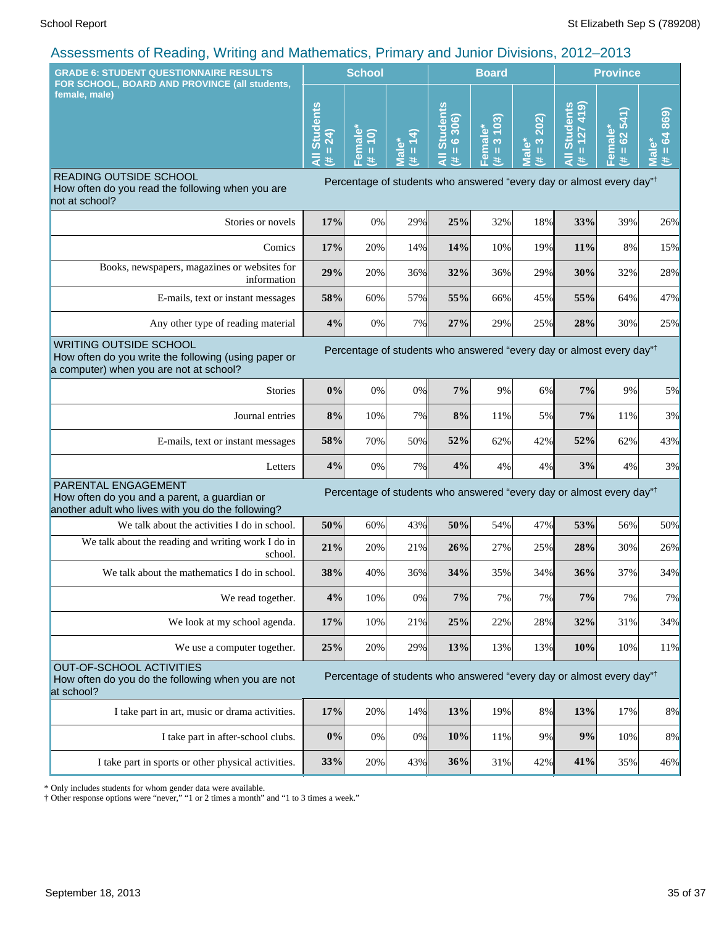| <b>GRADE 6: STUDENT QUESTIONNAIRE RESULTS</b>                                                                                                                                                                        |                                  | <b>School</b>                                                   |                                   |                                                                                  | <b>Board</b>                                     |                                            | <b>Province</b>                                                |                                       |                                               |
|----------------------------------------------------------------------------------------------------------------------------------------------------------------------------------------------------------------------|----------------------------------|-----------------------------------------------------------------|-----------------------------------|----------------------------------------------------------------------------------|--------------------------------------------------|--------------------------------------------|----------------------------------------------------------------|---------------------------------------|-----------------------------------------------|
| FOR SCHOOL, BOARD AND PROVINCE (all students,<br>female, male)                                                                                                                                                       | <b>Students</b><br>24)<br>Ш<br>๔ | $\mathbf{\omega}$<br>$\frac{1}{2}$<br>mai<br>ш<br>$\omega$<br>共 | ₹<br>Ш<br>$\overline{\mathbf{c}}$ | <b>Students</b><br>306)<br>$\ddot{\circ}$<br>Ш<br>共                              | 103<br>ő<br><b>na</b><br>$\infty$<br>Ш<br>உ<br>违 | 202)<br>$\frac{3}{2}$<br><b>Male*</b><br>主 | <b>Students</b><br>(614)<br>127<br>$\mathbf{u}$<br>।<br>द<br>违 | 62541<br>Female*<br>$\mathbf{u}$<br>违 | 869<br>$= 64$<br>٥<br>$\bar{\mathbf{s}}$<br>违 |
| READING OUTSIDE SCHOOL<br>How often do you read the following when you are<br>not at school?                                                                                                                         |                                  |                                                                 |                                   | Percentage of students who answered "every day or almost every day" <sup>†</sup> |                                                  |                                            |                                                                |                                       |                                               |
| Stories or novels                                                                                                                                                                                                    | 17%                              | 0%                                                              | 29%                               | 25%                                                                              | 32%                                              | 18%                                        | 33%                                                            | 39%                                   | 26%                                           |
| Comics                                                                                                                                                                                                               | 17%                              | 20%                                                             | 14%                               | 14%                                                                              | 10%                                              | 19%                                        | 11%                                                            | 8%                                    | 15%                                           |
| Books, newspapers, magazines or websites for<br>information                                                                                                                                                          | 29%                              | 20%                                                             | 36%                               | 32%                                                                              | 36%                                              | 29%                                        | 30%                                                            | 32%                                   | 28%                                           |
| E-mails, text or instant messages                                                                                                                                                                                    | 58%                              | 60%                                                             | 57%                               | 55%                                                                              | 66%                                              | 45%                                        | 55%                                                            | 64%                                   | 47%                                           |
| Any other type of reading material                                                                                                                                                                                   | 4%                               | 0%                                                              | 7%                                | 27%                                                                              | 29%                                              | 25%                                        | 28%                                                            | 30%                                   | 25%                                           |
| <b>WRITING OUTSIDE SCHOOL</b><br>Percentage of students who answered "every day or almost every day" <sup>†</sup><br>How often do you write the following (using paper or<br>a computer) when you are not at school? |                                  |                                                                 |                                   |                                                                                  |                                                  |                                            |                                                                |                                       |                                               |
| Stories                                                                                                                                                                                                              | 0%                               | 0%                                                              | 0%                                | 7%                                                                               | 9%                                               | 6%                                         | 7%                                                             | 9%                                    | 5%                                            |
| Journal entries                                                                                                                                                                                                      | 8%                               | 10%                                                             | 7%                                | 8%                                                                               | 11%                                              | 5%                                         | 7%                                                             | 11%                                   | 3%                                            |
| E-mails, text or instant messages                                                                                                                                                                                    | 58%                              | 70%                                                             | 50%                               | 52%                                                                              | 62%                                              | 42%                                        | 52%                                                            | 62%                                   | 43%                                           |
| Letters                                                                                                                                                                                                              | 4%                               | 0%                                                              | 7%                                | 4%                                                                               | 4%                                               | 4%                                         | 3%                                                             | 4%                                    | 3%                                            |
| PARENTAL ENGAGEMENT<br>How often do you and a parent, a guardian or<br>another adult who lives with you do the following?                                                                                            |                                  |                                                                 |                                   | Percentage of students who answered "every day or almost every day" <sup>†</sup> |                                                  |                                            |                                                                |                                       |                                               |
| We talk about the activities I do in school.                                                                                                                                                                         | 50%                              | 60%                                                             | 43%                               | 50%                                                                              | 54%                                              | 47%                                        | 53%                                                            | 56%                                   | 50%                                           |
| We talk about the reading and writing work I do in<br>school.                                                                                                                                                        | 21%                              | 20%                                                             | 21%                               | 26%                                                                              | 27%                                              | 25%                                        | 28%                                                            | 30%                                   | 26%                                           |
| We talk about the mathematics I do in school.                                                                                                                                                                        | 38%                              | 40%                                                             | 36%                               | 34%                                                                              | 35%                                              | 34%                                        | 36%                                                            | 37%                                   | 34%                                           |
| We read together.                                                                                                                                                                                                    | 4%                               | 10%                                                             | 0%                                | 7%                                                                               | 7%                                               | 7%                                         | 7%                                                             | 7%                                    | 7%                                            |
| We look at my school agenda.                                                                                                                                                                                         | 17%                              | 10%                                                             | 21%                               | 25%                                                                              | 22%                                              | 28%                                        | 32%                                                            | 31%                                   | 34%                                           |
| We use a computer together.                                                                                                                                                                                          | 25%                              | 20%                                                             | 29%                               | 13%                                                                              | 13%                                              | 13%                                        | 10%                                                            | 10%                                   | 11%                                           |
| OUT-OF-SCHOOL ACTIVITIES<br>How often do you do the following when you are not<br>at school?                                                                                                                         |                                  |                                                                 |                                   | Percentage of students who answered "every day or almost every day" <sup>†</sup> |                                                  |                                            |                                                                |                                       |                                               |
| I take part in art, music or drama activities.                                                                                                                                                                       | 17%                              | 20%                                                             | 14%                               | 13%                                                                              | 19%                                              | 8%                                         | 13%                                                            | 17%                                   | 8%                                            |
| I take part in after-school clubs.                                                                                                                                                                                   | 0%                               | 0%                                                              | 0%                                | 10%                                                                              | 11%                                              | 9%                                         | $9\%$                                                          | 10%                                   | 8%                                            |
| I take part in sports or other physical activities.                                                                                                                                                                  | 33%                              | 20%                                                             | 43%                               | 36%                                                                              | 31%                                              | 42%                                        | 41%                                                            | 35%                                   | 46%                                           |

\* Only includes students for whom gender data were available.

† Other response options were "never," "1 or 2 times a month" and "1 to 3 times a week."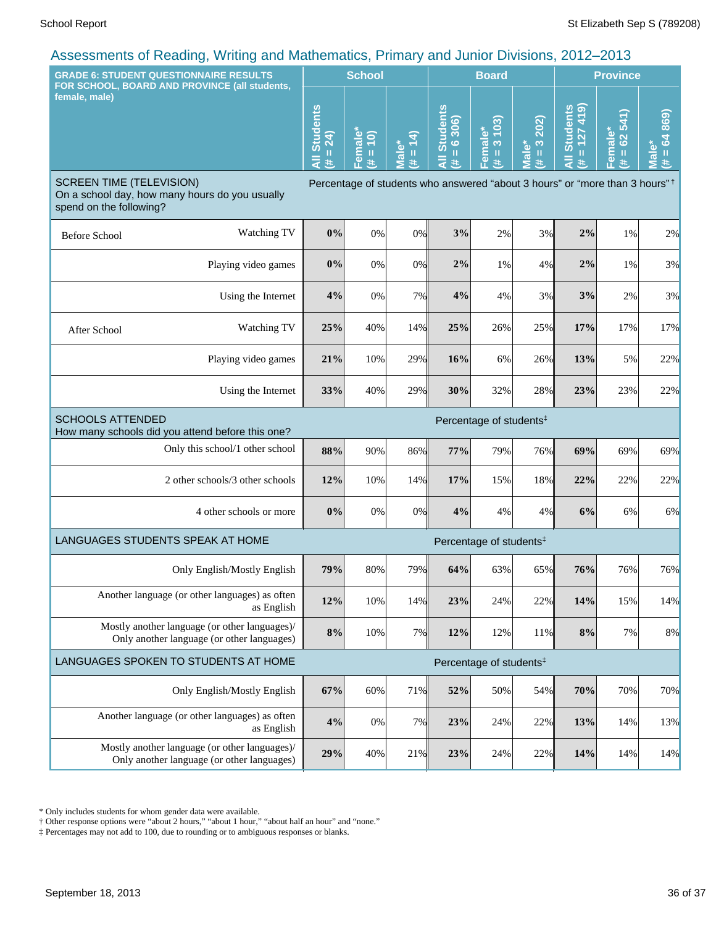| $\alpha$ to coordinate of reduiring, evening and matricination, it mindig and currici Divisions, LOTZ (2016)<br><b>GRADE 6: STUDENT QUESTIONNAIRE RESULTS</b> |                                  | <b>School</b>                        |                                  |                                                                                         | <b>Board</b>                        |                            |                                                 | <b>Province</b>                      |                              |  |
|---------------------------------------------------------------------------------------------------------------------------------------------------------------|----------------------------------|--------------------------------------|----------------------------------|-----------------------------------------------------------------------------------------|-------------------------------------|----------------------------|-------------------------------------------------|--------------------------------------|------------------------------|--|
| FOR SCHOOL, BOARD AND PROVINCE (all students,<br>female, male)                                                                                                | <b>Students</b><br>24)<br>Ш<br>業 | Female <sup>®</sup><br>(0)<br>Ш<br>共 | $= 14$<br>Male <sup>*</sup><br>共 | <b>All Students</b><br>306<br>$\ddot{\circ}$<br>$\,$ H<br>共                             | 103)<br>Female*<br>(# = 3 10.       | 202)<br>$(H = 3)$<br>Male* | $= 127419$<br><b>Students</b><br>$\bar{a}$<br>共 | 541)<br>Female*<br>82<br>$\,$ H<br>主 | 869)<br>$= 64$<br>Male*<br>患 |  |
| <b>SCREEN TIME (TELEVISION)</b><br>On a school day, how many hours do you usually<br>spend on the following?                                                  |                                  |                                      |                                  | Percentage of students who answered "about 3 hours" or "more than 3 hours" <sup>†</sup> |                                     |                            |                                                 |                                      |                              |  |
| Watching TV<br><b>Before School</b>                                                                                                                           | 0%                               | 0%                                   | 0%                               | 3%                                                                                      | 2%                                  | 3%                         | 2%                                              | 1%                                   | 2%                           |  |
| Playing video games                                                                                                                                           | 0%                               | 0%                                   | 0%                               | 2%                                                                                      | 1%                                  | 4%                         | 2%                                              | 1%                                   | 3%                           |  |
| Using the Internet                                                                                                                                            | 4%                               | 0%                                   | 7%                               | 4%                                                                                      | 4%                                  | 3%                         | 3%                                              | 2%                                   | 3%                           |  |
| Watching TV<br>After School                                                                                                                                   | 25%                              | 40%                                  | 14%                              | 25%                                                                                     | 26%                                 | 25%                        | 17%                                             | 17%                                  | 17%                          |  |
| Playing video games                                                                                                                                           | 21%                              | 10%                                  | 29%                              | 16%                                                                                     | 6%                                  | 26%                        | 13%                                             | 5%                                   | 22%                          |  |
| Using the Internet                                                                                                                                            | 33%                              | 40%                                  | 29%                              | 30%                                                                                     | 32%                                 | 28%                        | 23%                                             | 23%                                  | 22%                          |  |
| <b>SCHOOLS ATTENDED</b><br>How many schools did you attend before this one?                                                                                   |                                  |                                      |                                  |                                                                                         | Percentage of students <sup>#</sup> |                            |                                                 |                                      |                              |  |
| Only this school/1 other school                                                                                                                               | 88%                              | 90%                                  | 86%                              | 77%                                                                                     | 79%                                 | 76%                        | 69%                                             | 69%                                  | 69%                          |  |
| 2 other schools/3 other schools                                                                                                                               | 12%                              | 10%                                  | 14%                              | 17%                                                                                     | 15%                                 | 18%                        | 22%                                             | 22%                                  | 22%                          |  |
| 4 other schools or more                                                                                                                                       | 0%                               | 0%                                   | 0%                               | 4%                                                                                      | 4%                                  | 4%                         | 6%                                              | 6%                                   | 6%                           |  |
| LANGUAGES STUDENTS SPEAK AT HOME                                                                                                                              |                                  |                                      |                                  |                                                                                         | Percentage of students <sup>‡</sup> |                            |                                                 |                                      |                              |  |
| Only English/Mostly English                                                                                                                                   | 79%                              | 80%                                  | 79%                              | 64%                                                                                     | 63%                                 | 65%                        | 76%                                             | 76%                                  | 76%                          |  |
| Another language (or other languages) as often<br>as English                                                                                                  | 12%                              | 10%                                  | 14%                              | 23%                                                                                     | 24%                                 | 22%                        | 14%                                             | 15%                                  | 14%                          |  |
| Mostly another language (or other languages)/<br>Only another language (or other languages)                                                                   | $8\%$                            | 10%                                  | 7%                               | 12%                                                                                     | 12%                                 | 11%                        | 8%                                              | 7%                                   | 8%                           |  |
| LANGUAGES SPOKEN TO STUDENTS AT HOME                                                                                                                          |                                  |                                      |                                  |                                                                                         | Percentage of students <sup>#</sup> |                            |                                                 |                                      |                              |  |
| Only English/Mostly English                                                                                                                                   | 67%                              | 60%                                  | 71%                              | 52%                                                                                     | 50%                                 | 54%                        | 70%                                             | 70%                                  | 70%                          |  |
| Another language (or other languages) as often<br>as English                                                                                                  | 4%                               | $0\%$                                | 7%                               | 23%                                                                                     | 24%                                 | 22%                        | 13%                                             | 14%                                  | 13%                          |  |
| Mostly another language (or other languages)/<br>Only another language (or other languages)                                                                   | 29%                              | 40%                                  | 21%                              | 23%                                                                                     | 24%                                 | 22%                        | 14%                                             | 14%                                  | 14%                          |  |

\* Only includes students for whom gender data were available.

† Other response options were "about 2 hours," "about 1 hour," "about half an hour" and "none."

‡ Percentages may not add to 100, due to rounding or to ambiguous responses or blanks.